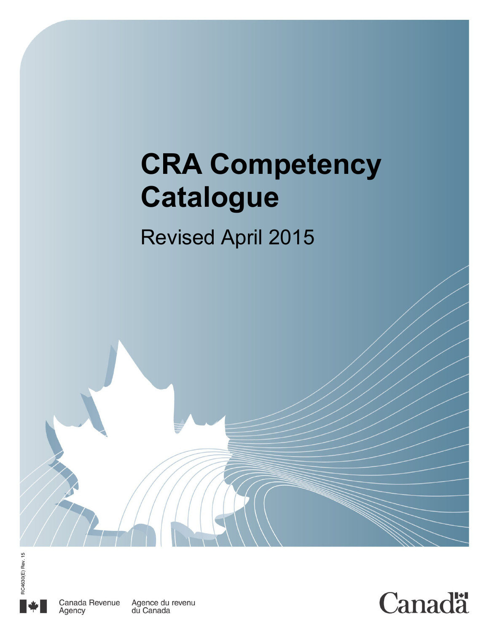# **CRA Competency Catalogue**

## Revised April 2015





du Canada

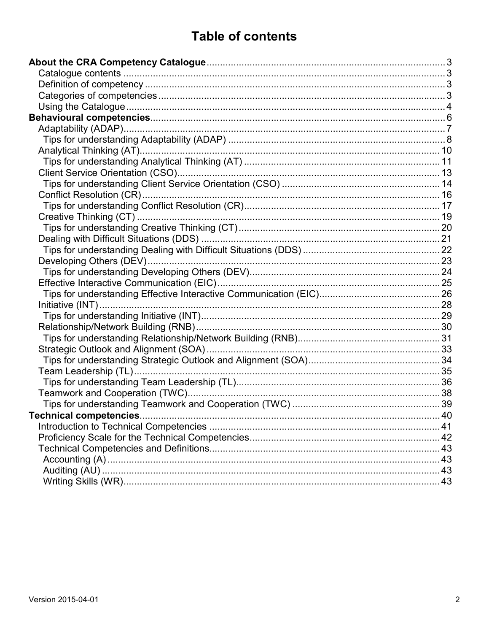## **Table of contents**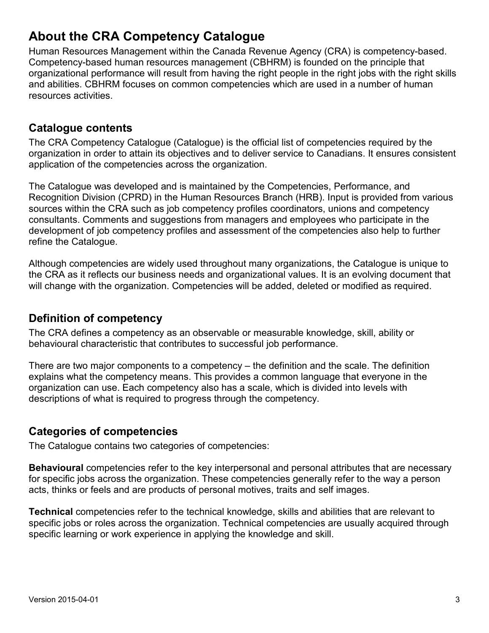## **About the CRA Competency Catalogue**

Human Resources Management within the Canada Revenue Agency (CRA) is competency-based. Competency-based human resources management (CBHRM) is founded on the principle that organizational performance will result from having the right people in the right jobs with the right skills and abilities. CBHRM focuses on common competencies which are used in a number of human resources activities.

## **Catalogue contents**

The CRA Competency Catalogue (Catalogue) is the official list of competencies required by the organization in order to attain its objectives and to deliver service to Canadians. It ensures consistent application of the competencies across the organization.

The Catalogue was developed and is maintained by the Competencies, Performance, and Recognition Division (CPRD) in the Human Resources Branch (HRB). Input is provided from various sources within the CRA such as job competency profiles coordinators, unions and competency consultants. Comments and suggestions from managers and employees who participate in the development of job competency profiles and assessment of the competencies also help to further refine the Catalogue.

Although competencies are widely used throughout many organizations, the Catalogue is unique to the CRA as it reflects our business needs and organizational values. It is an evolving document that will change with the organization. Competencies will be added, deleted or modified as required.

#### **Definition of competency**

The CRA defines a competency as an observable or measurable knowledge, skill, ability or behavioural characteristic that contributes to successful job performance.

There are two major components to a competency – the definition and the scale. The definition explains what the competency means. This provides a common language that everyone in the organization can use. Each competency also has a scale, which is divided into levels with descriptions of what is required to progress through the competency.

## **Categories of competencies**

The Catalogue contains two categories of competencies:

**Behavioural** competencies refer to the key interpersonal and personal attributes that are necessary for specific jobs across the organization. These competencies generally refer to the way a person acts, thinks or feels and are products of personal motives, traits and self images.

**Technical** competencies refer to the technical knowledge, skills and abilities that are relevant to specific jobs or roles across the organization. Technical competencies are usually acquired through specific learning or work experience in applying the knowledge and skill.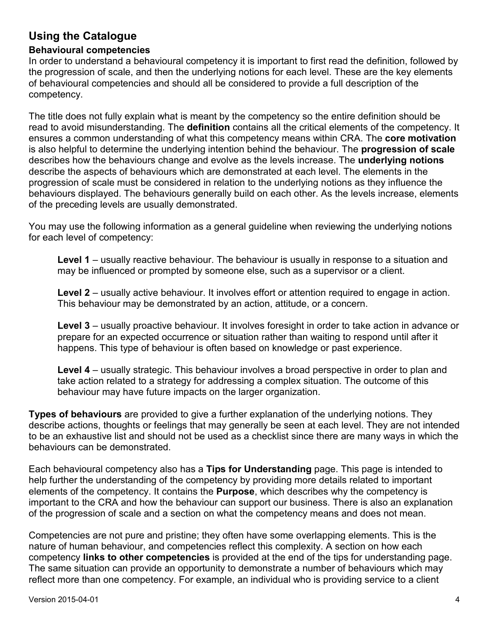## **Using the Catalogue**

#### **Behavioural competencies**

In order to understand a behavioural competency it is important to first read the definition, followed by the progression of scale, and then the underlying notions for each level. These are the key elements of behavioural competencies and should all be considered to provide a full description of the competency.

The title does not fully explain what is meant by the competency so the entire definition should be read to avoid misunderstanding. The **definition** contains all the critical elements of the competency. It ensures a common understanding of what this competency means within CRA. The **core motivation** is also helpful to determine the underlying intention behind the behaviour. The **progression of scale** describes how the behaviours change and evolve as the levels increase. The **underlying notions** describe the aspects of behaviours which are demonstrated at each level. The elements in the progression of scale must be considered in relation to the underlying notions as they influence the behaviours displayed. The behaviours generally build on each other. As the levels increase, elements of the preceding levels are usually demonstrated.

You may use the following information as a general guideline when reviewing the underlying notions for each level of competency:

**Level 1** – usually reactive behaviour. The behaviour is usually in response to a situation and may be influenced or prompted by someone else, such as a supervisor or a client.

**Level 2** – usually active behaviour. It involves effort or attention required to engage in action. This behaviour may be demonstrated by an action, attitude, or a concern.

**Level 3** – usually proactive behaviour. It involves foresight in order to take action in advance or prepare for an expected occurrence or situation rather than waiting to respond until after it happens. This type of behaviour is often based on knowledge or past experience.

**Level 4** – usually strategic. This behaviour involves a broad perspective in order to plan and take action related to a strategy for addressing a complex situation. The outcome of this behaviour may have future impacts on the larger organization.

**Types of behaviours** are provided to give a further explanation of the underlying notions. They describe actions, thoughts or feelings that may generally be seen at each level. They are not intended to be an exhaustive list and should not be used as a checklist since there are many ways in which the behaviours can be demonstrated.

Each behavioural competency also has a **Tips for Understanding** page. This page is intended to help further the understanding of the competency by providing more details related to important elements of the competency. It contains the **Purpose**, which describes why the competency is important to the CRA and how the behaviour can support our business. There is also an explanation of the progression of scale and a section on what the competency means and does not mean.

Competencies are not pure and pristine; they often have some overlapping elements. This is the nature of human behaviour, and competencies reflect this complexity. A section on how each competency **links to other competencies** is provided at the end of the tips for understanding page. The same situation can provide an opportunity to demonstrate a number of behaviours which may reflect more than one competency. For example, an individual who is providing service to a client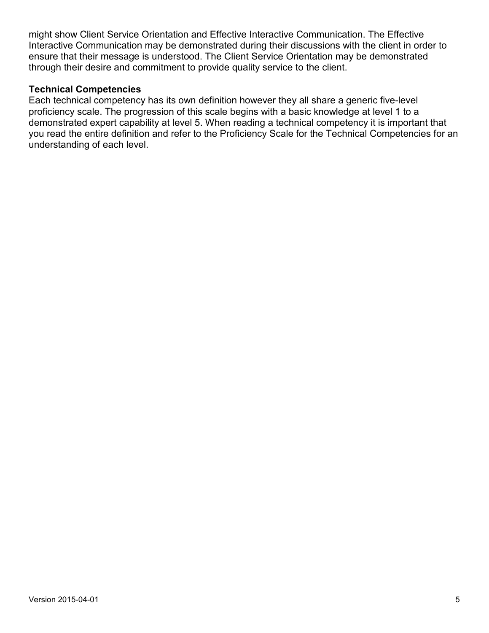might show Client Service Orientation and Effective Interactive Communication. The Effective Interactive Communication may be demonstrated during their discussions with the client in order to ensure that their message is understood. The Client Service Orientation may be demonstrated through their desire and commitment to provide quality service to the client.

#### **Technical Competencies**

Each technical competency has its own definition however they all share a generic five-level proficiency scale. The progression of this scale begins with a basic knowledge at level 1 to a demonstrated expert capability at level 5. When reading a technical competency it is important that you read the entire definition and refer to the Proficiency Scale for the Technical Competencies for an understanding of each level.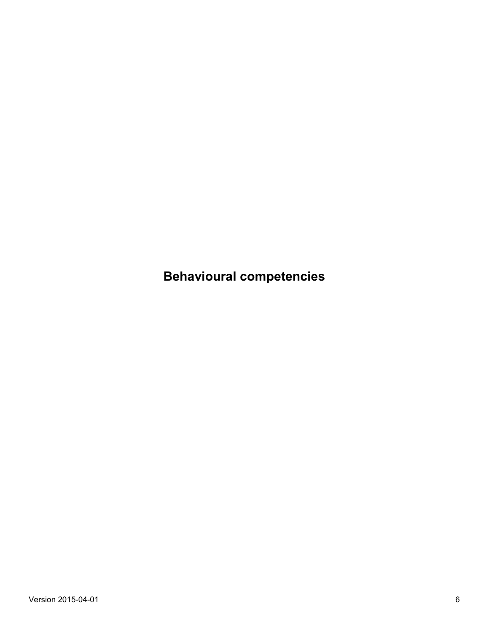**Behavioural competencies**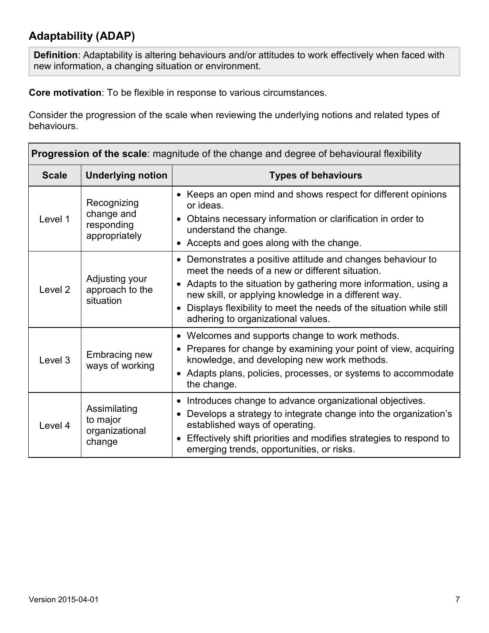## **Adaptability (ADAP)**

**Definition**: Adaptability is altering behaviours and/or attitudes to work effectively when faced with new information, a changing situation or environment.

**Core motivation**: To be flexible in response to various circumstances.

| <b>Progression of the scale:</b> magnitude of the change and degree of behavioural flexibility |                                                          |                                                                                                                                                                                                                                                                                                                                                       |
|------------------------------------------------------------------------------------------------|----------------------------------------------------------|-------------------------------------------------------------------------------------------------------------------------------------------------------------------------------------------------------------------------------------------------------------------------------------------------------------------------------------------------------|
| <b>Scale</b>                                                                                   | <b>Underlying notion</b>                                 | <b>Types of behaviours</b>                                                                                                                                                                                                                                                                                                                            |
| Level 1                                                                                        | Recognizing<br>change and<br>responding<br>appropriately | • Keeps an open mind and shows respect for different opinions<br>or ideas.<br>• Obtains necessary information or clarification in order to<br>understand the change.<br>• Accepts and goes along with the change.                                                                                                                                     |
| Level <sub>2</sub>                                                                             | Adjusting your<br>approach to the<br>situation           | Demonstrates a positive attitude and changes behaviour to<br>meet the needs of a new or different situation.<br>• Adapts to the situation by gathering more information, using a<br>new skill, or applying knowledge in a different way.<br>Displays flexibility to meet the needs of the situation while still<br>adhering to organizational values. |
| Level 3                                                                                        | Embracing new<br>ways of working                         | • Welcomes and supports change to work methods.<br>• Prepares for change by examining your point of view, acquiring<br>knowledge, and developing new work methods.<br>• Adapts plans, policies, processes, or systems to accommodate<br>the change.                                                                                                   |
| Level 4                                                                                        | Assimilating<br>to major<br>organizational<br>change     | Introduces change to advance organizational objectives.<br>Develops a strategy to integrate change into the organization's<br>established ways of operating.<br>Effectively shift priorities and modifies strategies to respond to<br>emerging trends, opportunities, or risks.                                                                       |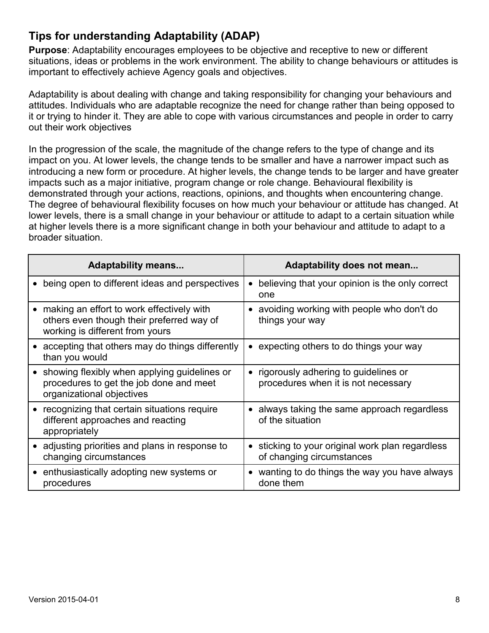## **Tips for understanding Adaptability (ADAP)**

**Purpose**: Adaptability encourages employees to be objective and receptive to new or different situations, ideas or problems in the work environment. The ability to change behaviours or attitudes is important to effectively achieve Agency goals and objectives.

Adaptability is about dealing with change and taking responsibility for changing your behaviours and attitudes. Individuals who are adaptable recognize the need for change rather than being opposed to it or trying to hinder it. They are able to cope with various circumstances and people in order to carry out their work objectives

In the progression of the scale, the magnitude of the change refers to the type of change and its impact on you. At lower levels, the change tends to be smaller and have a narrower impact such as introducing a new form or procedure. At higher levels, the change tends to be larger and have greater impacts such as a major initiative, program change or role change. Behavioural flexibility is demonstrated through your actions, reactions, opinions, and thoughts when encountering change. The degree of behavioural flexibility focuses on how much your behaviour or attitude has changed. At lower levels, there is a small change in your behaviour or attitude to adapt to a certain situation while at higher levels there is a more significant change in both your behaviour and attitude to adapt to a broader situation.

| <b>Adaptability means</b>                                                                                                              | Adaptability does not mean                                                               |
|----------------------------------------------------------------------------------------------------------------------------------------|------------------------------------------------------------------------------------------|
| being open to different ideas and perspectives<br>$\bullet$                                                                            | believing that your opinion is the only correct<br>$\bullet$<br>one                      |
| making an effort to work effectively with<br>$\bullet$<br>others even though their preferred way of<br>working is different from yours | avoiding working with people who don't do<br>things your way                             |
| accepting that others may do things differently<br>than you would                                                                      | expecting others to do things your way                                                   |
| showing flexibly when applying guidelines or<br>$\bullet$<br>procedures to get the job done and meet<br>organizational objectives      | rigorously adhering to guidelines or<br>procedures when it is not necessary              |
| recognizing that certain situations require<br>$\bullet$<br>different approaches and reacting<br>appropriately                         | always taking the same approach regardless<br>of the situation                           |
| • adjusting priorities and plans in response to<br>changing circumstances                                                              | sticking to your original work plan regardless<br>$\bullet$<br>of changing circumstances |
| enthusiastically adopting new systems or<br>$\bullet$<br>procedures                                                                    | wanting to do things the way you have always<br>$\bullet$<br>done them                   |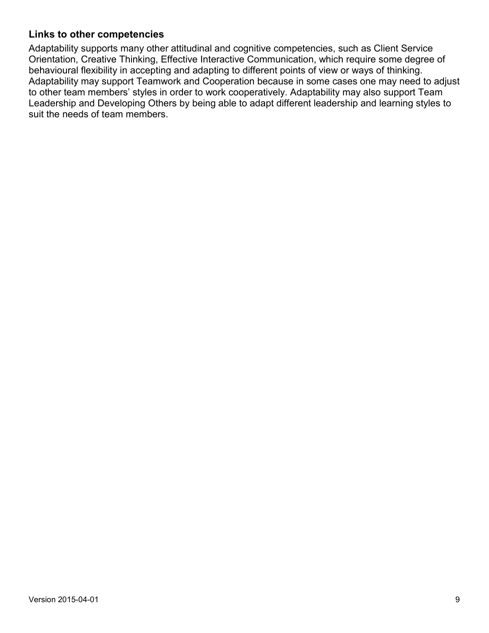#### **Links to other competencies**

Adaptability supports many other attitudinal and cognitive competencies, such as Client Service Orientation, Creative Thinking, Effective Interactive Communication, which require some degree of behavioural flexibility in accepting and adapting to different points of view or ways of thinking. Adaptability may support Teamwork and Cooperation because in some cases one may need to adjust to other team members' styles in order to work cooperatively. Adaptability may also support Team Leadership and Developing Others by being able to adapt different leadership and learning styles to suit the needs of team members.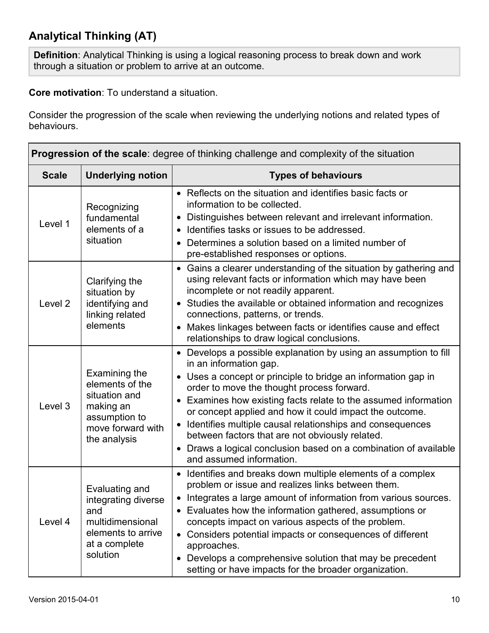## **Analytical Thinking (AT)**

**Definition**: Analytical Thinking is using a logical reasoning process to break down and work through a situation or problem to arrive at an outcome.

**Core motivation**: To understand a situation.

| <b>Progression of the scale:</b> degree of thinking challenge and complexity of the situation |                                                                                                                      |                                                                                                                                                                                                                                                                                                                                                                                                                                                                                                                                                                      |
|-----------------------------------------------------------------------------------------------|----------------------------------------------------------------------------------------------------------------------|----------------------------------------------------------------------------------------------------------------------------------------------------------------------------------------------------------------------------------------------------------------------------------------------------------------------------------------------------------------------------------------------------------------------------------------------------------------------------------------------------------------------------------------------------------------------|
| <b>Scale</b>                                                                                  | <b>Underlying notion</b>                                                                                             | <b>Types of behaviours</b>                                                                                                                                                                                                                                                                                                                                                                                                                                                                                                                                           |
| Level 1                                                                                       | Recognizing<br>fundamental<br>elements of a<br>situation                                                             | • Reflects on the situation and identifies basic facts or<br>information to be collected.<br>Distinguishes between relevant and irrelevant information.<br>• Identifies tasks or issues to be addressed.<br>• Determines a solution based on a limited number of<br>pre-established responses or options.                                                                                                                                                                                                                                                            |
| Level <sub>2</sub>                                                                            | Clarifying the<br>situation by<br>identifying and<br>linking related<br>elements                                     | • Gains a clearer understanding of the situation by gathering and<br>using relevant facts or information which may have been<br>incomplete or not readily apparent.<br>• Studies the available or obtained information and recognizes<br>connections, patterns, or trends.<br>• Makes linkages between facts or identifies cause and effect<br>relationships to draw logical conclusions.                                                                                                                                                                            |
| Level 3                                                                                       | Examining the<br>elements of the<br>situation and<br>making an<br>assumption to<br>move forward with<br>the analysis | • Develops a possible explanation by using an assumption to fill<br>in an information gap.<br>• Uses a concept or principle to bridge an information gap in<br>order to move the thought process forward.<br>• Examines how existing facts relate to the assumed information<br>or concept applied and how it could impact the outcome.<br>Identifies multiple causal relationships and consequences<br>$\bullet$<br>between factors that are not obviously related.<br>• Draws a logical conclusion based on a combination of available<br>and assumed information. |
| Level 4                                                                                       | Evaluating and<br>integrating diverse<br>and<br>multidimensional<br>elements to arrive<br>at a complete<br>solution  | • Identifies and breaks down multiple elements of a complex<br>problem or issue and realizes links between them.<br>• Integrates a large amount of information from various sources.<br>Evaluates how the information gathered, assumptions or<br>concepts impact on various aspects of the problem.<br>• Considers potential impacts or consequences of different<br>approaches.<br>Develops a comprehensive solution that may be precedent<br>setting or have impacts for the broader organization.                                                                |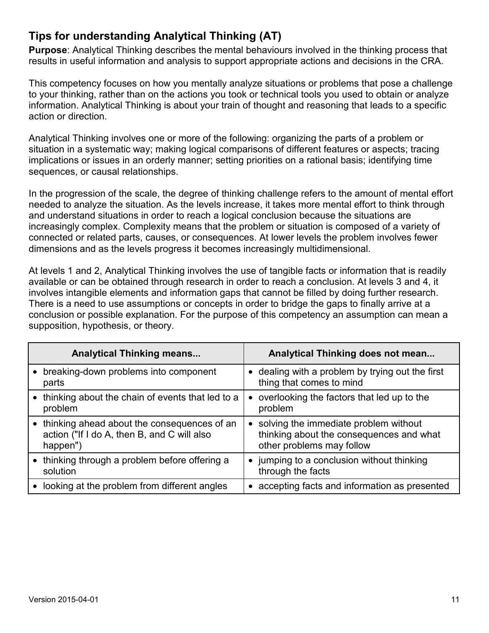## **Tips for understanding Analytical Thinking (AT)**

**Purpose**: Analytical Thinking describes the mental behaviours involved in the thinking process that results in useful information and analysis to support appropriate actions and decisions in the CRA.

This competency focuses on how you mentally analyze situations or problems that pose a challenge to your thinking, rather than on the actions you took or technical tools you used to obtain or analyze information. Analytical Thinking is about your train of thought and reasoning that leads to a specific action or direction.

Analytical Thinking involves one or more of the following: organizing the parts of a problem or situation in a systematic way; making logical comparisons of different features or aspects; tracing implications or issues in an orderly manner; setting priorities on a rational basis; identifying time sequences, or causal relationships.

In the progression of the scale, the degree of thinking challenge refers to the amount of mental effort needed to analyze the situation. As the levels increase, it takes more mental effort to think through and understand situations in order to reach a logical conclusion because the situations are increasingly complex. Complexity means that the problem or situation is composed of a variety of connected or related parts, causes, or consequences. At lower levels the problem involves fewer dimensions and as the levels progress it becomes increasingly multidimensional.

At levels 1 and 2, Analytical Thinking involves the use of tangible facts or information that is readily available or can be obtained through research in order to reach a conclusion. At levels 3 and 4, it involves intangible elements and information gaps that cannot be filled by doing further research. There is a need to use assumptions or concepts in order to bridge the gaps to finally arrive at a conclusion or possible explanation. For the purpose of this competency an assumption can mean a supposition, hypothesis, or theory.

| <b>Analytical Thinking means</b>                                                                         | Analytical Thinking does not mean                                                                                           |
|----------------------------------------------------------------------------------------------------------|-----------------------------------------------------------------------------------------------------------------------------|
| • breaking-down problems into component<br>parts                                                         | • dealing with a problem by trying out the first<br>thing that comes to mind                                                |
| • thinking about the chain of events that led to a<br>problem                                            | overlooking the factors that led up to the<br>٠<br>problem                                                                  |
| • thinking ahead about the consequences of an<br>action ("If I do A, then B, and C will also<br>happen") | solving the immediate problem without<br>$\bullet$<br>thinking about the consequences and what<br>other problems may follow |
| • thinking through a problem before offering a<br>solution                                               | jumping to a conclusion without thinking<br>$\bullet$<br>through the facts                                                  |
| looking at the problem from different angles<br>$\bullet$                                                | accepting facts and information as presented                                                                                |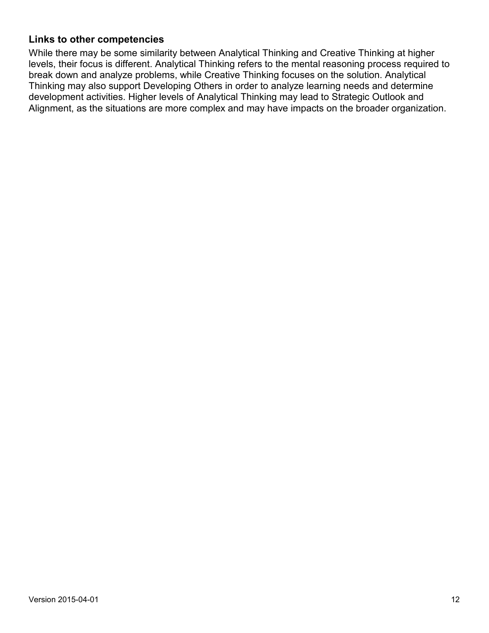#### **Links to other competencies**

While there may be some similarity between Analytical Thinking and Creative Thinking at higher levels, their focus is different. Analytical Thinking refers to the mental reasoning process required to break down and analyze problems, while Creative Thinking focuses on the solution. Analytical Thinking may also support Developing Others in order to analyze learning needs and determine development activities. Higher levels of Analytical Thinking may lead to Strategic Outlook and Alignment, as the situations are more complex and may have impacts on the broader organization.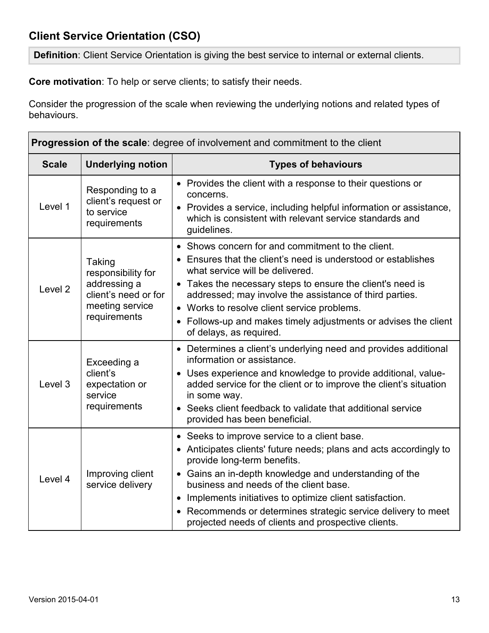## **Client Service Orientation (CSO)**

**Definition**: Client Service Orientation is giving the best service to internal or external clients.

**Core motivation**: To help or serve clients; to satisfy their needs.

| <b>Progression of the scale:</b> degree of involvement and commitment to the client |                                                                                                         |                                                                                                                                                                                                                                                                                                                                                                                                                                            |
|-------------------------------------------------------------------------------------|---------------------------------------------------------------------------------------------------------|--------------------------------------------------------------------------------------------------------------------------------------------------------------------------------------------------------------------------------------------------------------------------------------------------------------------------------------------------------------------------------------------------------------------------------------------|
| <b>Scale</b>                                                                        | <b>Underlying notion</b>                                                                                | <b>Types of behaviours</b>                                                                                                                                                                                                                                                                                                                                                                                                                 |
| Level 1                                                                             | Responding to a<br>client's request or<br>to service<br>requirements                                    | • Provides the client with a response to their questions or<br>concerns.<br>• Provides a service, including helpful information or assistance,<br>which is consistent with relevant service standards and<br>guidelines.                                                                                                                                                                                                                   |
| Level <sub>2</sub>                                                                  | Taking<br>responsibility for<br>addressing a<br>client's need or for<br>meeting service<br>requirements | • Shows concern for and commitment to the client.<br>• Ensures that the client's need is understood or establishes<br>what service will be delivered.<br>• Takes the necessary steps to ensure the client's need is<br>addressed; may involve the assistance of third parties.<br>• Works to resolve client service problems.<br>• Follows-up and makes timely adjustments or advises the client<br>of delays, as required.                |
| Level 3                                                                             | Exceeding a<br>client's<br>expectation or<br>service<br>requirements                                    | • Determines a client's underlying need and provides additional<br>information or assistance.<br>• Uses experience and knowledge to provide additional, value-<br>added service for the client or to improve the client's situation<br>in some way.<br>• Seeks client feedback to validate that additional service<br>provided has been beneficial.                                                                                        |
| Level 4                                                                             | Improving client<br>service delivery                                                                    | • Seeks to improve service to a client base.<br>• Anticipates clients' future needs; plans and acts accordingly to<br>provide long-term benefits.<br>• Gains an in-depth knowledge and understanding of the<br>business and needs of the client base.<br>• Implements initiatives to optimize client satisfaction.<br>• Recommends or determines strategic service delivery to meet<br>projected needs of clients and prospective clients. |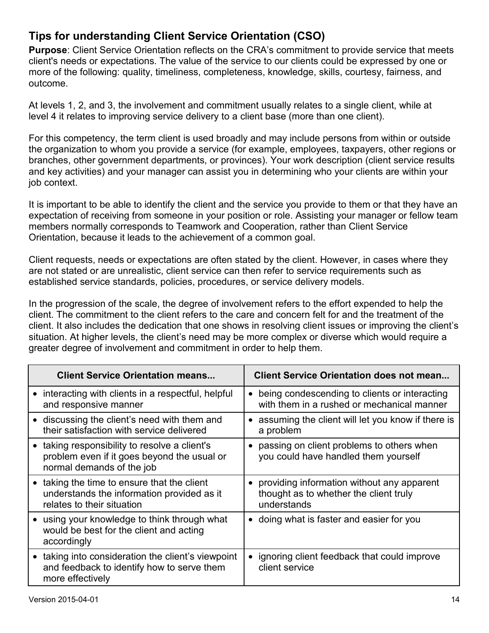## **Tips for understanding Client Service Orientation (CSO)**

**Purpose**: Client Service Orientation reflects on the CRA's commitment to provide service that meets client's needs or expectations. The value of the service to our clients could be expressed by one or more of the following: quality, timeliness, completeness, knowledge, skills, courtesy, fairness, and outcome.

At levels 1, 2, and 3, the involvement and commitment usually relates to a single client, while at level 4 it relates to improving service delivery to a client base (more than one client).

For this competency, the term client is used broadly and may include persons from within or outside the organization to whom you provide a service (for example, employees, taxpayers, other regions or branches, other government departments, or provinces). Your work description (client service results and key activities) and your manager can assist you in determining who your clients are within your job context.

It is important to be able to identify the client and the service you provide to them or that they have an expectation of receiving from someone in your position or role. Assisting your manager or fellow team members normally corresponds to Teamwork and Cooperation, rather than Client Service Orientation, because it leads to the achievement of a common goal.

Client requests, needs or expectations are often stated by the client. However, in cases where they are not stated or are unrealistic, client service can then refer to service requirements such as established service standards, policies, procedures, or service delivery models.

In the progression of the scale, the degree of involvement refers to the effort expended to help the client. The commitment to the client refers to the care and concern felt for and the treatment of the client. It also includes the dedication that one shows in resolving client issues or improving the client's situation. At higher levels, the client's need may be more complex or diverse which would require a greater degree of involvement and commitment in order to help them.

| <b>Client Service Orientation means</b>                                                                            | <b>Client Service Orientation does not mean</b>                 |
|--------------------------------------------------------------------------------------------------------------------|-----------------------------------------------------------------|
| interacting with clients in a respectful, helpful                                                                  | • being condescending to clients or interacting                 |
| and responsive manner                                                                                              | with them in a rushed or mechanical manner                      |
| • discussing the client's need with them and                                                                       | • assuming the client will let you know if there is             |
| their satisfaction with service delivered                                                                          | a problem                                                       |
| taking responsibility to resolve a client's                                                                        | passing on client problems to others when                       |
| problem even if it goes beyond the usual or                                                                        | $\bullet$                                                       |
| normal demands of the job                                                                                          | you could have handled them yourself                            |
| taking the time to ensure that the client                                                                          | • providing information without any apparent                    |
| understands the information provided as it                                                                         | thought as to whether the client truly                          |
| relates to their situation                                                                                         | understands                                                     |
| using your knowledge to think through what<br>would be best for the client and acting<br>accordingly               | • doing what is faster and easier for you                       |
| taking into consideration the client's viewpoint<br>and feedback to identify how to serve them<br>more effectively | • ignoring client feedback that could improve<br>client service |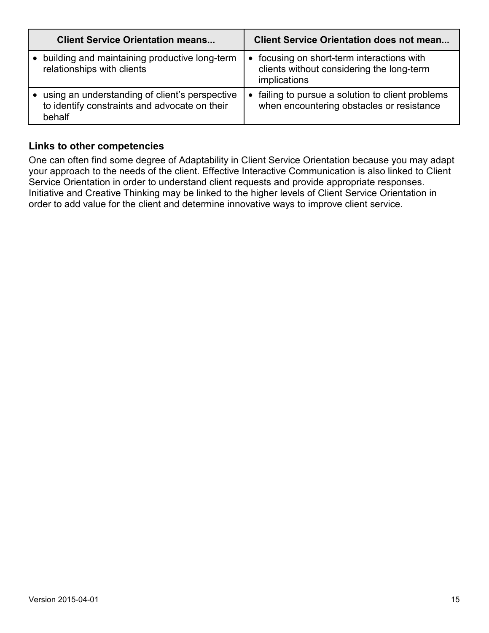| <b>Client Service Orientation means</b>                                                                     | <b>Client Service Orientation does not mean</b>                                                                    |  |
|-------------------------------------------------------------------------------------------------------------|--------------------------------------------------------------------------------------------------------------------|--|
| building and maintaining productive long-term<br>relationships with clients                                 | focusing on short-term interactions with<br>$\bullet$<br>clients without considering the long-term<br>implications |  |
| • using an understanding of client's perspective<br>to identify constraints and advocate on their<br>behalf | failing to pursue a solution to client problems<br>$\bullet$<br>when encountering obstacles or resistance          |  |

#### **Links to other competencies**

One can often find some degree of Adaptability in Client Service Orientation because you may adapt your approach to the needs of the client. Effective Interactive Communication is also linked to Client Service Orientation in order to understand client requests and provide appropriate responses. Initiative and Creative Thinking may be linked to the higher levels of Client Service Orientation in order to add value for the client and determine innovative ways to improve client service.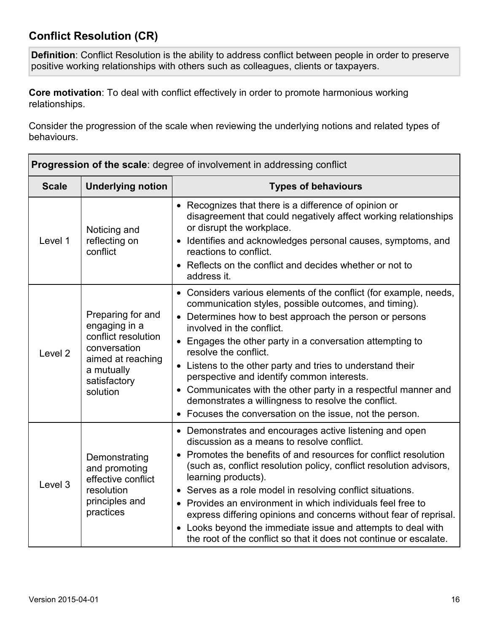## **Conflict Resolution (CR)**

**Definition**: Conflict Resolution is the ability to address conflict between people in order to preserve positive working relationships with others such as colleagues, clients or taxpayers.

**Core motivation**: To deal with conflict effectively in order to promote harmonious working relationships.

| <b>Progression of the scale:</b> degree of involvement in addressing conflict |                                                                                                                                          |                                                                                                                                                                                                                                                                                                                                                                                                                                                                                                                                                                                                                 |
|-------------------------------------------------------------------------------|------------------------------------------------------------------------------------------------------------------------------------------|-----------------------------------------------------------------------------------------------------------------------------------------------------------------------------------------------------------------------------------------------------------------------------------------------------------------------------------------------------------------------------------------------------------------------------------------------------------------------------------------------------------------------------------------------------------------------------------------------------------------|
| <b>Scale</b>                                                                  | <b>Underlying notion</b>                                                                                                                 | <b>Types of behaviours</b>                                                                                                                                                                                                                                                                                                                                                                                                                                                                                                                                                                                      |
| Level 1                                                                       | Noticing and<br>reflecting on<br>conflict                                                                                                | • Recognizes that there is a difference of opinion or<br>disagreement that could negatively affect working relationships<br>or disrupt the workplace.<br>• Identifies and acknowledges personal causes, symptoms, and<br>reactions to conflict.<br>• Reflects on the conflict and decides whether or not to<br>address it.                                                                                                                                                                                                                                                                                      |
| Level <sub>2</sub>                                                            | Preparing for and<br>engaging in a<br>conflict resolution<br>conversation<br>aimed at reaching<br>a mutually<br>satisfactory<br>solution | • Considers various elements of the conflict (for example, needs,<br>communication styles, possible outcomes, and timing).<br>• Determines how to best approach the person or persons<br>involved in the conflict.<br>• Engages the other party in a conversation attempting to<br>resolve the conflict.<br>• Listens to the other party and tries to understand their<br>perspective and identify common interests.<br>• Communicates with the other party in a respectful manner and<br>demonstrates a willingness to resolve the conflict.<br>• Focuses the conversation on the issue, not the person.       |
| Level 3                                                                       | Demonstrating<br>and promoting<br>effective conflict<br>resolution<br>principles and<br>practices                                        | • Demonstrates and encourages active listening and open<br>discussion as a means to resolve conflict.<br>• Promotes the benefits of and resources for conflict resolution<br>(such as, conflict resolution policy, conflict resolution advisors,<br>learning products).<br>• Serves as a role model in resolving conflict situations.<br>• Provides an environment in which individuals feel free to<br>express differing opinions and concerns without fear of reprisal.<br>• Looks beyond the immediate issue and attempts to deal with<br>the root of the conflict so that it does not continue or escalate. |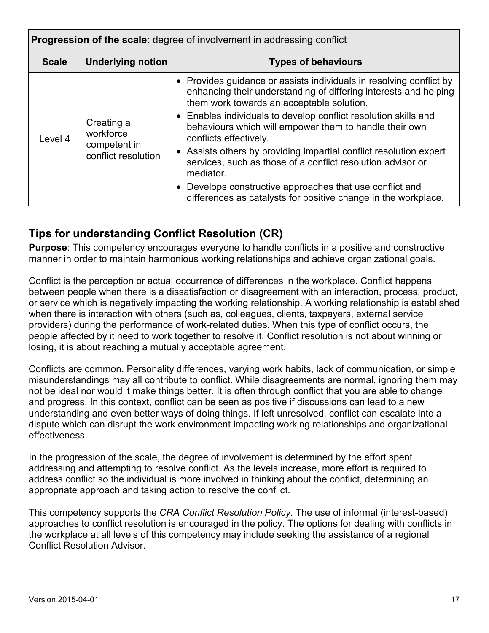| Progression of the scale: degree of involvement in addressing conflict |                                     |                                                                                                                                                                                      |
|------------------------------------------------------------------------|-------------------------------------|--------------------------------------------------------------------------------------------------------------------------------------------------------------------------------------|
| <b>Scale</b>                                                           | <b>Underlying notion</b>            | <b>Types of behaviours</b>                                                                                                                                                           |
| Level 4                                                                | Creating a<br>workforce             | • Provides guidance or assists individuals in resolving conflict by<br>enhancing their understanding of differing interests and helping<br>them work towards an acceptable solution. |
|                                                                        |                                     | • Enables individuals to develop conflict resolution skills and<br>behaviours which will empower them to handle their own<br>conflicts effectively.                                  |
|                                                                        | competent in<br>conflict resolution | • Assists others by providing impartial conflict resolution expert<br>services, such as those of a conflict resolution advisor or<br>mediator.                                       |
|                                                                        |                                     | • Develops constructive approaches that use conflict and<br>differences as catalysts for positive change in the workplace.                                                           |

## **Tips for understanding Conflict Resolution (CR)**

**Purpose**: This competency encourages everyone to handle conflicts in a positive and constructive manner in order to maintain harmonious working relationships and achieve organizational goals.

Conflict is the perception or actual occurrence of differences in the workplace. Conflict happens between people when there is a dissatisfaction or disagreement with an interaction, process, product, or service which is negatively impacting the working relationship. A working relationship is established when there is interaction with others (such as, colleagues, clients, taxpayers, external service providers) during the performance of work-related duties. When this type of conflict occurs, the people affected by it need to work together to resolve it. Conflict resolution is not about winning or losing, it is about reaching a mutually acceptable agreement.

Conflicts are common. Personality differences, varying work habits, lack of communication, or simple misunderstandings may all contribute to conflict. While disagreements are normal, ignoring them may not be ideal nor would it make things better. It is often through conflict that you are able to change and progress. In this context, conflict can be seen as positive if discussions can lead to a new understanding and even better ways of doing things. If left unresolved, conflict can escalate into a dispute which can disrupt the work environment impacting working relationships and organizational effectiveness.

In the progression of the scale, the degree of involvement is determined by the effort spent addressing and attempting to resolve conflict. As the levels increase, more effort is required to address conflict so the individual is more involved in thinking about the conflict, determining an appropriate approach and taking action to resolve the conflict.

This competency supports the *CRA Conflict Resolution Policy*. The use of informal (interest-based) approaches to conflict resolution is encouraged in the policy. The options for dealing with conflicts in the workplace at all levels of this competency may include seeking the assistance of a regional Conflict Resolution Advisor.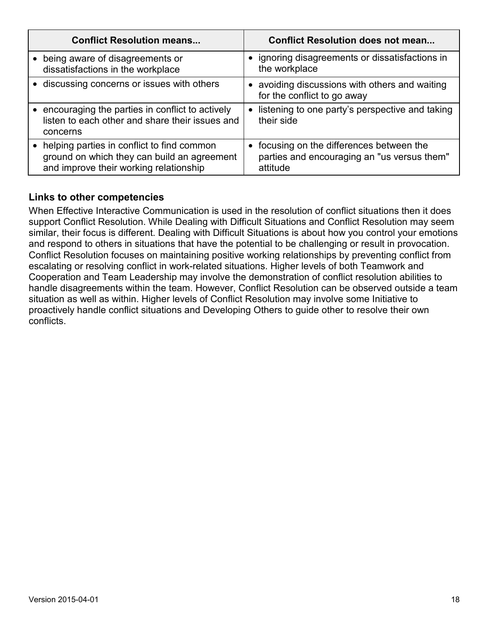| <b>Conflict Resolution means</b>                                                                                                    | <b>Conflict Resolution does not mean</b>                                                             |
|-------------------------------------------------------------------------------------------------------------------------------------|------------------------------------------------------------------------------------------------------|
| being aware of disagreements or<br>dissatisfactions in the workplace                                                                | • ignoring disagreements or dissatisfactions in<br>the workplace                                     |
| • discussing concerns or issues with others                                                                                         | • avoiding discussions with others and waiting<br>for the conflict to go away                        |
| encouraging the parties in conflict to actively<br>listen to each other and share their issues and<br>concerns                      | • listening to one party's perspective and taking<br>their side                                      |
| helping parties in conflict to find common<br>ground on which they can build an agreement<br>and improve their working relationship | • focusing on the differences between the<br>parties and encouraging an "us versus them"<br>attitude |

#### **Links to other competencies**

When Effective Interactive Communication is used in the resolution of conflict situations then it does support Conflict Resolution. While Dealing with Difficult Situations and Conflict Resolution may seem similar, their focus is different. Dealing with Difficult Situations is about how you control your emotions and respond to others in situations that have the potential to be challenging or result in provocation. Conflict Resolution focuses on maintaining positive working relationships by preventing conflict from escalating or resolving conflict in work-related situations. Higher levels of both Teamwork and Cooperation and Team Leadership may involve the demonstration of conflict resolution abilities to handle disagreements within the team. However, Conflict Resolution can be observed outside a team situation as well as within. Higher levels of Conflict Resolution may involve some Initiative to proactively handle conflict situations and Developing Others to guide other to resolve their own conflicts.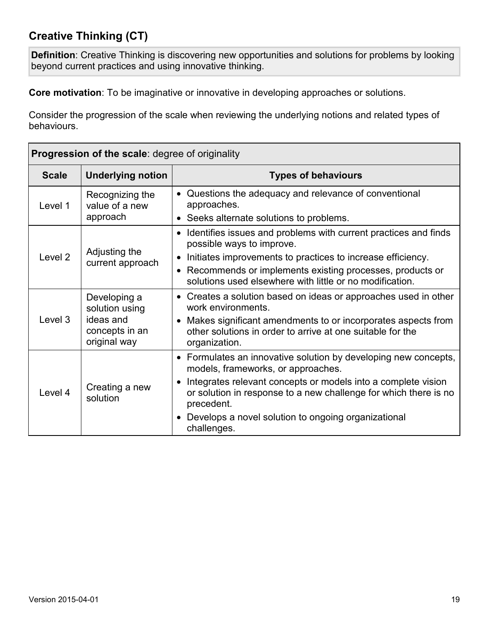## **Creative Thinking (CT)**

**Definition**: Creative Thinking is discovering new opportunities and solutions for problems by looking beyond current practices and using innovative thinking.

**Core motivation**: To be imaginative or innovative in developing approaches or solutions.

| <b>Progression of the scale: degree of originality</b> |                                                                               |                                                                                                                                                                                                                                                                                                                                  |
|--------------------------------------------------------|-------------------------------------------------------------------------------|----------------------------------------------------------------------------------------------------------------------------------------------------------------------------------------------------------------------------------------------------------------------------------------------------------------------------------|
| <b>Scale</b>                                           | <b>Underlying notion</b>                                                      | <b>Types of behaviours</b>                                                                                                                                                                                                                                                                                                       |
| Level 1                                                | Recognizing the<br>value of a new<br>approach                                 | • Questions the adequacy and relevance of conventional<br>approaches.<br>• Seeks alternate solutions to problems.                                                                                                                                                                                                                |
| Level 2                                                | Adjusting the<br>current approach                                             | Identifies issues and problems with current practices and finds<br>possible ways to improve.<br>Initiates improvements to practices to increase efficiency.<br>• Recommends or implements existing processes, products or<br>solutions used elsewhere with little or no modification.                                            |
| Level 3                                                | Developing a<br>solution using<br>ideas and<br>concepts in an<br>original way | Creates a solution based on ideas or approaches used in other<br>work environments.<br>Makes significant amendments to or incorporates aspects from<br>other solutions in order to arrive at one suitable for the<br>organization.                                                                                               |
| Level 4                                                | Creating a new<br>solution                                                    | • Formulates an innovative solution by developing new concepts,<br>models, frameworks, or approaches.<br>Integrates relevant concepts or models into a complete vision<br>or solution in response to a new challenge for which there is no<br>precedent.<br>• Develops a novel solution to ongoing organizational<br>challenges. |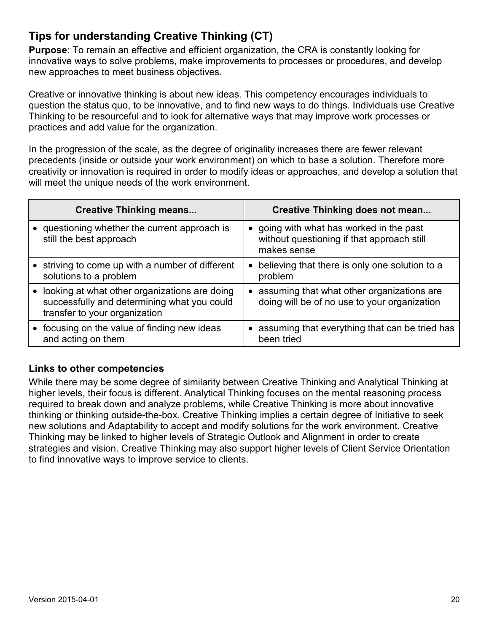## **Tips for understanding Creative Thinking (CT)**

**Purpose**: To remain an effective and efficient organization, the CRA is constantly looking for innovative ways to solve problems, make improvements to processes or procedures, and develop new approaches to meet business objectives.

Creative or innovative thinking is about new ideas. This competency encourages individuals to question the status quo, to be innovative, and to find new ways to do things. Individuals use Creative Thinking to be resourceful and to look for alternative ways that may improve work processes or practices and add value for the organization.

In the progression of the scale, as the degree of originality increases there are fewer relevant precedents (inside or outside your work environment) on which to base a solution. Therefore more creativity or innovation is required in order to modify ideas or approaches, and develop a solution that will meet the unique needs of the work environment.

| <b>Creative Thinking means</b>                                                                                                | Creative Thinking does not mean                                                                       |
|-------------------------------------------------------------------------------------------------------------------------------|-------------------------------------------------------------------------------------------------------|
| • questioning whether the current approach is<br>still the best approach                                                      | • going with what has worked in the past<br>without questioning if that approach still<br>makes sense |
| • striving to come up with a number of different<br>solutions to a problem                                                    | • believing that there is only one solution to a<br>problem                                           |
| looking at what other organizations are doing<br>successfully and determining what you could<br>transfer to your organization | • assuming that what other organizations are<br>doing will be of no use to your organization          |
| • focusing on the value of finding new ideas<br>and acting on them                                                            | • assuming that everything that can be tried has<br>been tried                                        |

#### **Links to other competencies**

While there may be some degree of similarity between Creative Thinking and Analytical Thinking at higher levels, their focus is different. Analytical Thinking focuses on the mental reasoning process required to break down and analyze problems, while Creative Thinking is more about innovative thinking or thinking outside-the-box. Creative Thinking implies a certain degree of Initiative to seek new solutions and Adaptability to accept and modify solutions for the work environment. Creative Thinking may be linked to higher levels of Strategic Outlook and Alignment in order to create strategies and vision. Creative Thinking may also support higher levels of Client Service Orientation to find innovative ways to improve service to clients.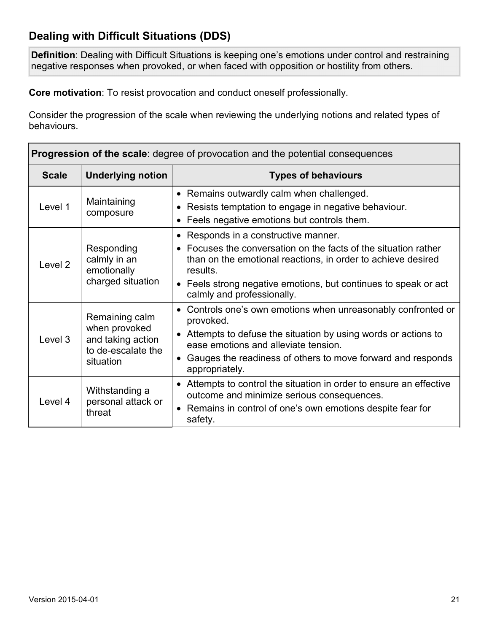## **Dealing with Difficult Situations (DDS)**

**Definition**: Dealing with Difficult Situations is keeping one's emotions under control and restraining negative responses when provoked, or when faced with opposition or hostility from others.

**Core motivation**: To resist provocation and conduct oneself professionally.

| <b>Progression of the scale:</b> degree of provocation and the potential consequences |                                                                                         |                                                                                                                                                                                                                                                                                      |  |
|---------------------------------------------------------------------------------------|-----------------------------------------------------------------------------------------|--------------------------------------------------------------------------------------------------------------------------------------------------------------------------------------------------------------------------------------------------------------------------------------|--|
| <b>Scale</b>                                                                          | <b>Underlying notion</b>                                                                | <b>Types of behaviours</b>                                                                                                                                                                                                                                                           |  |
| Level 1                                                                               | Maintaining<br>composure                                                                | • Remains outwardly calm when challenged.<br>Resists temptation to engage in negative behaviour.<br>• Feels negative emotions but controls them.                                                                                                                                     |  |
| Level <sub>2</sub>                                                                    | Responding<br>calmly in an<br>emotionally<br>charged situation                          | • Responds in a constructive manner.<br>• Focuses the conversation on the facts of the situation rather<br>than on the emotional reactions, in order to achieve desired<br>results.<br>• Feels strong negative emotions, but continues to speak or act<br>calmly and professionally. |  |
| Level 3                                                                               | Remaining calm<br>when provoked<br>and taking action<br>to de-escalate the<br>situation | Controls one's own emotions when unreasonably confronted or<br>provoked.<br>• Attempts to defuse the situation by using words or actions to<br>ease emotions and alleviate tension.<br>Gauges the readiness of others to move forward and responds<br>appropriately.                 |  |
| Level 4                                                                               | Withstanding a<br>personal attack or<br>threat                                          | • Attempts to control the situation in order to ensure an effective<br>outcome and minimize serious consequences.<br>• Remains in control of one's own emotions despite fear for<br>safety.                                                                                          |  |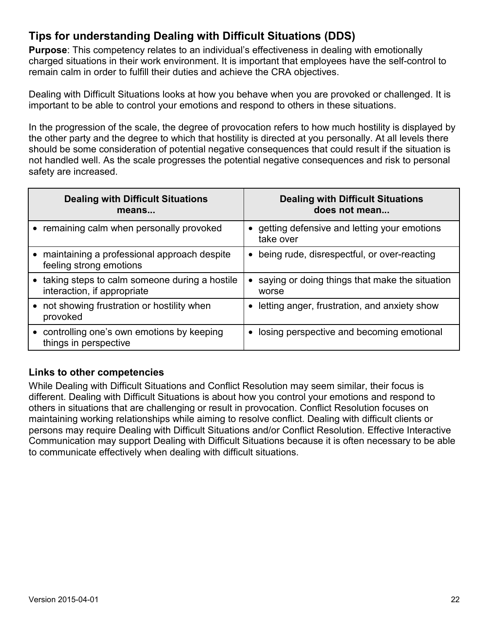## **Tips for understanding Dealing with Difficult Situations (DDS)**

**Purpose**: This competency relates to an individual's effectiveness in dealing with emotionally charged situations in their work environment. It is important that employees have the self-control to remain calm in order to fulfill their duties and achieve the CRA objectives.

Dealing with Difficult Situations looks at how you behave when you are provoked or challenged. It is important to be able to control your emotions and respond to others in these situations.

In the progression of the scale, the degree of provocation refers to how much hostility is displayed by the other party and the degree to which that hostility is directed at you personally. At all levels there should be some consideration of potential negative consequences that could result if the situation is not handled well. As the scale progresses the potential negative consequences and risk to personal safety are increased.

| <b>Dealing with Difficult Situations</b>                                     | <b>Dealing with Difficult Situations</b>                             |
|------------------------------------------------------------------------------|----------------------------------------------------------------------|
| means                                                                        | does not mean                                                        |
| • remaining calm when personally provoked                                    | getting defensive and letting your emotions<br>take over             |
| maintaining a professional approach despite                                  | being rude, disrespectful, or over-reacting                          |
| feeling strong emotions                                                      | $\bullet$                                                            |
| taking steps to calm someone during a hostile<br>interaction, if appropriate | saying or doing things that make the situation<br>$\bullet$<br>worse |
| • not showing frustration or hostility when<br>provoked                      | letting anger, frustration, and anxiety show                         |
| controlling one's own emotions by keeping                                    | losing perspective and becoming emotional                            |
| things in perspective                                                        | $\bullet$                                                            |

#### **Links to other competencies**

While Dealing with Difficult Situations and Conflict Resolution may seem similar, their focus is different. Dealing with Difficult Situations is about how you control your emotions and respond to others in situations that are challenging or result in provocation. Conflict Resolution focuses on maintaining working relationships while aiming to resolve conflict. Dealing with difficult clients or persons may require Dealing with Difficult Situations and/or Conflict Resolution. Effective Interactive Communication may support Dealing with Difficult Situations because it is often necessary to be able to communicate effectively when dealing with difficult situations.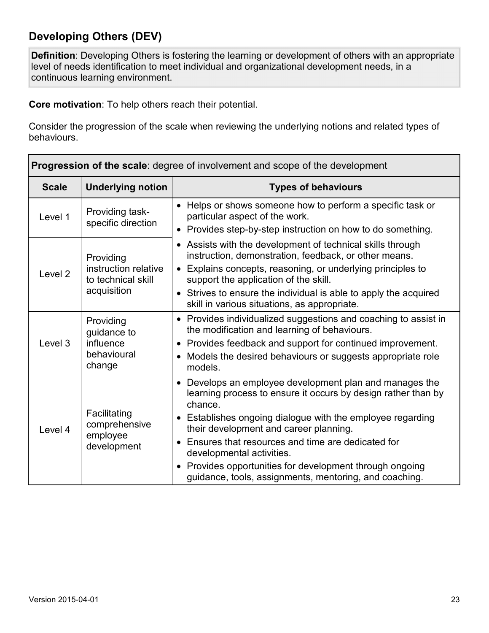## **Developing Others (DEV)**

**Definition**: Developing Others is fostering the learning or development of others with an appropriate level of needs identification to meet individual and organizational development needs, in a continuous learning environment.

**Core motivation**: To help others reach their potential.

| <b>Progression of the scale:</b> degree of involvement and scope of the development          |                                                                                                                     |                                                                                                                                                             |
|----------------------------------------------------------------------------------------------|---------------------------------------------------------------------------------------------------------------------|-------------------------------------------------------------------------------------------------------------------------------------------------------------|
| <b>Scale</b>                                                                                 | <b>Underlying notion</b>                                                                                            | <b>Types of behaviours</b>                                                                                                                                  |
| Level 1                                                                                      | Providing task-<br>specific direction                                                                               | • Helps or shows someone how to perform a specific task or<br>particular aspect of the work.<br>• Provides step-by-step instruction on how to do something. |
| Providing<br>instruction relative<br>Level <sub>2</sub><br>to technical skill<br>acquisition | • Assists with the development of technical skills through<br>instruction, demonstration, feedback, or other means. |                                                                                                                                                             |
|                                                                                              | Explains concepts, reasoning, or underlying principles to<br>$\bullet$<br>support the application of the skill.     |                                                                                                                                                             |
|                                                                                              | • Strives to ensure the individual is able to apply the acquired<br>skill in various situations, as appropriate.    |                                                                                                                                                             |
| Providing                                                                                    | guidance to                                                                                                         | • Provides individualized suggestions and coaching to assist in<br>the modification and learning of behaviours.                                             |
| Level 3                                                                                      | influence                                                                                                           | • Provides feedback and support for continued improvement.                                                                                                  |
| behavioural<br>change                                                                        | Models the desired behaviours or suggests appropriate role<br>models.                                               |                                                                                                                                                             |
| Level 4                                                                                      |                                                                                                                     | Develops an employee development plan and manages the<br>$\bullet$<br>learning process to ensure it occurs by design rather than by<br>chance.              |
|                                                                                              | Facilitating<br>comprehensive<br>employee<br>development                                                            | • Establishes ongoing dialogue with the employee regarding<br>their development and career planning.                                                        |
|                                                                                              |                                                                                                                     | Ensures that resources and time are dedicated for<br>developmental activities.                                                                              |
|                                                                                              |                                                                                                                     | Provides opportunities for development through ongoing<br>$\bullet$<br>guidance, tools, assignments, mentoring, and coaching.                               |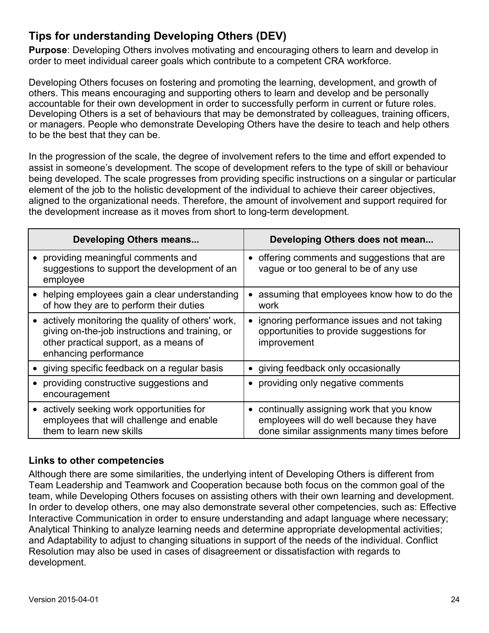## **Tips for understanding Developing Others (DEV)**

**Purpose**: Developing Others involves motivating and encouraging others to learn and develop in order to meet individual career goals which contribute to a competent CRA workforce.

Developing Others focuses on fostering and promoting the learning, development, and growth of others. This means encouraging and supporting others to learn and develop and be personally accountable for their own development in order to successfully perform in current or future roles. Developing Others is a set of behaviours that may be demonstrated by colleagues, training officers, or managers. People who demonstrate Developing Others have the desire to teach and help others to be the best that they can be.

In the progression of the scale, the degree of involvement refers to the time and effort expended to assist in someone's development. The scope of development refers to the type of skill or behaviour being developed. The scale progresses from providing specific instructions on a singular or particular element of the job to the holistic development of the individual to achieve their career objectives, aligned to the organizational needs. Therefore, the amount of involvement and support required for the development increase as it moves from short to long-term development.

| Developing Others means                                                                                                                                                  | Developing Others does not mean                                                                                                                 |
|--------------------------------------------------------------------------------------------------------------------------------------------------------------------------|-------------------------------------------------------------------------------------------------------------------------------------------------|
| providing meaningful comments and<br>suggestions to support the development of an<br>employee                                                                            | • offering comments and suggestions that are<br>vague or too general to be of any use                                                           |
| helping employees gain a clear understanding<br>of how they are to perform their duties                                                                                  | assuming that employees know how to do the<br>$\bullet$<br>work                                                                                 |
| • actively monitoring the quality of others' work,<br>giving on-the-job instructions and training, or<br>other practical support, as a means of<br>enhancing performance | • ignoring performance issues and not taking<br>opportunities to provide suggestions for<br>improvement                                         |
| • giving specific feedback on a regular basis                                                                                                                            | • giving feedback only occasionally                                                                                                             |
| providing constructive suggestions and<br>encouragement                                                                                                                  | • providing only negative comments                                                                                                              |
| actively seeking work opportunities for<br>employees that will challenge and enable<br>them to learn new skills                                                          | continually assigning work that you know<br>$\bullet$<br>employees will do well because they have<br>done similar assignments many times before |

#### **Links to other competencies**

Although there are some similarities, the underlying intent of Developing Others is different from Team Leadership and Teamwork and Cooperation because both focus on the common goal of the team, while Developing Others focuses on assisting others with their own learning and development. In order to develop others, one may also demonstrate several other competencies, such as: Effective Interactive Communication in order to ensure understanding and adapt language where necessary; Analytical Thinking to analyze learning needs and determine appropriate developmental activities; and Adaptability to adjust to changing situations in support of the needs of the individual. Conflict Resolution may also be used in cases of disagreement or dissatisfaction with regards to development.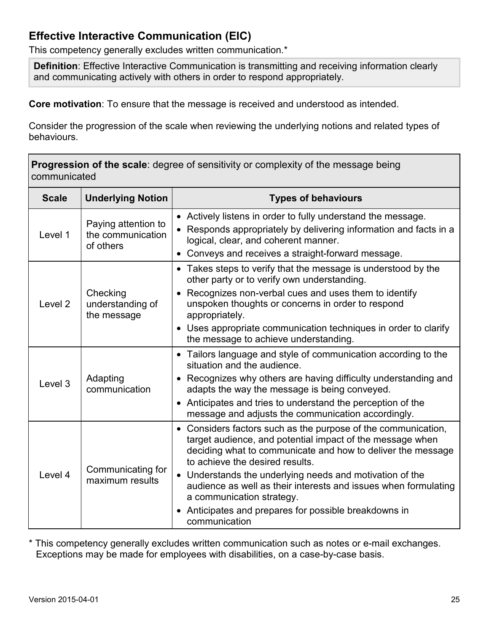## **Effective Interactive Communication (EIC)**

This competency generally excludes written communication.\*

**Definition**: Effective Interactive Communication is transmitting and receiving information clearly and communicating actively with others in order to respond appropriately.

**Core motivation**: To ensure that the message is received and understood as intended.

Consider the progression of the scale when reviewing the underlying notions and related types of behaviours.

| <b>Progression of the scale:</b> degree of sensitivity or complexity of the message being<br>communicated |                                                       |                                                                                                                                                                                                                                                                                                                                                                                                                                                                    |
|-----------------------------------------------------------------------------------------------------------|-------------------------------------------------------|--------------------------------------------------------------------------------------------------------------------------------------------------------------------------------------------------------------------------------------------------------------------------------------------------------------------------------------------------------------------------------------------------------------------------------------------------------------------|
| <b>Scale</b>                                                                                              | <b>Underlying Notion</b>                              | <b>Types of behaviours</b>                                                                                                                                                                                                                                                                                                                                                                                                                                         |
| Level 1                                                                                                   | Paying attention to<br>the communication<br>of others | • Actively listens in order to fully understand the message.<br>• Responds appropriately by delivering information and facts in a<br>logical, clear, and coherent manner.<br>• Conveys and receives a straight-forward message.                                                                                                                                                                                                                                    |
| Level <sub>2</sub>                                                                                        | Checking<br>understanding of<br>the message           | • Takes steps to verify that the message is understood by the<br>other party or to verify own understanding.<br>• Recognizes non-verbal cues and uses them to identify<br>unspoken thoughts or concerns in order to respond<br>appropriately.<br>• Uses appropriate communication techniques in order to clarify<br>the message to achieve understanding.                                                                                                          |
| Level 3                                                                                                   | Adapting<br>communication                             | • Tailors language and style of communication according to the<br>situation and the audience.<br>• Recognizes why others are having difficulty understanding and<br>adapts the way the message is being conveyed.<br>• Anticipates and tries to understand the perception of the<br>message and adjusts the communication accordingly.                                                                                                                             |
| Level 4                                                                                                   | Communicating for<br>maximum results                  | • Considers factors such as the purpose of the communication,<br>target audience, and potential impact of the message when<br>deciding what to communicate and how to deliver the message<br>to achieve the desired results.<br>• Understands the underlying needs and motivation of the<br>audience as well as their interests and issues when formulating<br>a communication strategy.<br>• Anticipates and prepares for possible breakdowns in<br>communication |

\* This competency generally excludes written communication such as notes or e-mail exchanges. Exceptions may be made for employees with disabilities, on a case-by-case basis.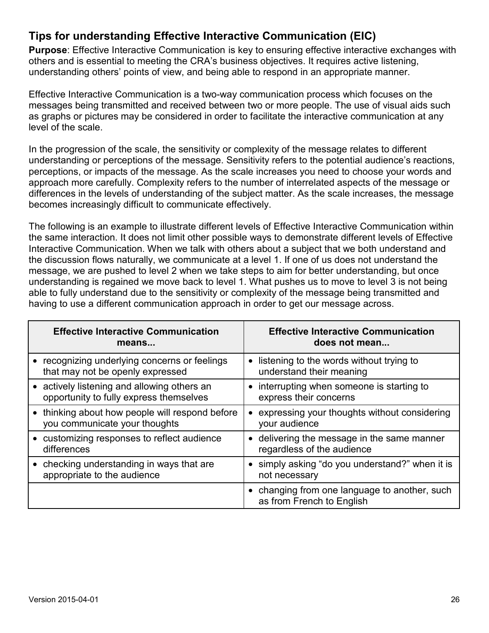## **Tips for understanding Effective Interactive Communication (EIC)**

**Purpose:** Effective Interactive Communication is key to ensuring effective interactive exchanges with others and is essential to meeting the CRA's business objectives. It requires active listening, understanding others' points of view, and being able to respond in an appropriate manner.

Effective Interactive Communication is a two-way communication process which focuses on the messages being transmitted and received between two or more people. The use of visual aids such as graphs or pictures may be considered in order to facilitate the interactive communication at any level of the scale.

In the progression of the scale, the sensitivity or complexity of the message relates to different understanding or perceptions of the message. Sensitivity refers to the potential audience's reactions, perceptions, or impacts of the message. As the scale increases you need to choose your words and approach more carefully. Complexity refers to the number of interrelated aspects of the message or differences in the levels of understanding of the subject matter. As the scale increases, the message becomes increasingly difficult to communicate effectively.

The following is an example to illustrate different levels of Effective Interactive Communication within the same interaction. It does not limit other possible ways to demonstrate different levels of Effective Interactive Communication. When we talk with others about a subject that we both understand and the discussion flows naturally, we communicate at a level 1. If one of us does not understand the message, we are pushed to level 2 when we take steps to aim for better understanding, but once understanding is regained we move back to level 1. What pushes us to move to level 3 is not being able to fully understand due to the sensitivity or complexity of the message being transmitted and having to use a different communication approach in order to get our message across.

| <b>Effective Interactive Communication</b>                                      | <b>Effective Interactive Communication</b>                                        |
|---------------------------------------------------------------------------------|-----------------------------------------------------------------------------------|
| means                                                                           | does not mean                                                                     |
| recognizing underlying concerns or feelings<br>that may not be openly expressed | listening to the words without trying to<br>$\bullet$<br>understand their meaning |
| • actively listening and allowing others an                                     | interrupting when someone is starting to                                          |
| opportunity to fully express themselves                                         | express their concerns                                                            |
| thinking about how people will respond before<br>you communicate your thoughts  | expressing your thoughts without considering<br>$\bullet$<br>your audience        |
| customizing responses to reflect audience                                       | • delivering the message in the same manner                                       |
| differences                                                                     | regardless of the audience                                                        |
| checking understanding in ways that are                                         | • simply asking "do you understand?" when it is                                   |
| appropriate to the audience                                                     | not necessary                                                                     |
|                                                                                 | • changing from one language to another, such<br>as from French to English        |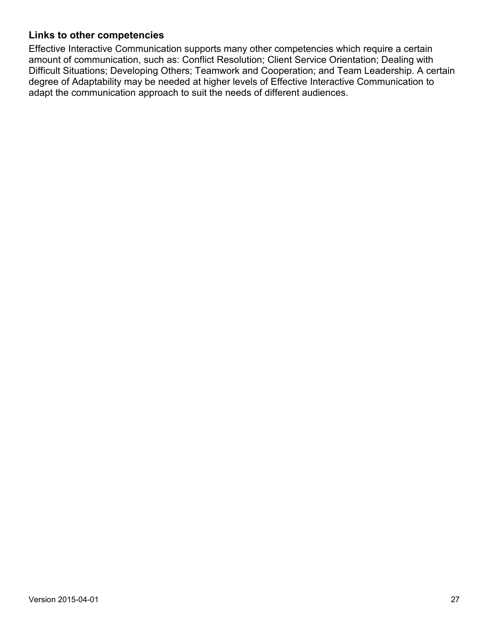#### **Links to other competencies**

Effective Interactive Communication supports many other competencies which require a certain amount of communication, such as: Conflict Resolution; Client Service Orientation; Dealing with Difficult Situations; Developing Others; Teamwork and Cooperation; and Team Leadership. A certain degree of Adaptability may be needed at higher levels of Effective Interactive Communication to adapt the communication approach to suit the needs of different audiences.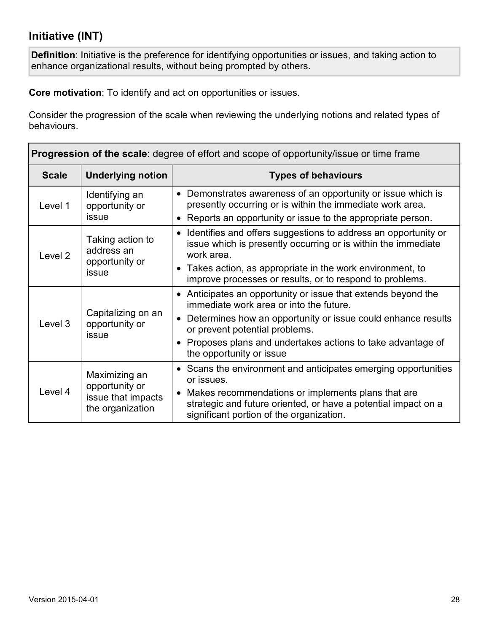## **Initiative (INT)**

**Definition**: Initiative is the preference for identifying opportunities or issues, and taking action to enhance organizational results, without being prompted by others.

**Core motivation**: To identify and act on opportunities or issues.

| <b>Progression of the scale:</b> degree of effort and scope of opportunity/issue or time frame |                                                                                                                                               |                                                                                                                                                                                           |  |
|------------------------------------------------------------------------------------------------|-----------------------------------------------------------------------------------------------------------------------------------------------|-------------------------------------------------------------------------------------------------------------------------------------------------------------------------------------------|--|
| <b>Scale</b>                                                                                   | <b>Underlying notion</b>                                                                                                                      | <b>Types of behaviours</b>                                                                                                                                                                |  |
| Level 1                                                                                        | Identifying an<br>opportunity or<br>issue                                                                                                     | • Demonstrates awareness of an opportunity or issue which is<br>presently occurring or is within the immediate work area.<br>• Reports an opportunity or issue to the appropriate person. |  |
| Taking action to<br>address an<br>Level <sub>2</sub><br>opportunity or<br>issue                | Identifies and offers suggestions to address an opportunity or<br>issue which is presently occurring or is within the immediate<br>work area. |                                                                                                                                                                                           |  |
|                                                                                                | • Takes action, as appropriate in the work environment, to<br>improve processes or results, or to respond to problems.                        |                                                                                                                                                                                           |  |
| Capitalizing on an<br>Level 3<br>opportunity or<br>issue                                       | • Anticipates an opportunity or issue that extends beyond the<br>immediate work area or into the future.                                      |                                                                                                                                                                                           |  |
|                                                                                                | • Determines how an opportunity or issue could enhance results<br>or prevent potential problems.                                              |                                                                                                                                                                                           |  |
|                                                                                                | • Proposes plans and undertakes actions to take advantage of<br>the opportunity or issue                                                      |                                                                                                                                                                                           |  |
| Maximizing an<br>opportunity or<br>Level 4<br>issue that impacts<br>the organization           | • Scans the environment and anticipates emerging opportunities<br>or issues.                                                                  |                                                                                                                                                                                           |  |
|                                                                                                |                                                                                                                                               | Makes recommendations or implements plans that are<br>$\bullet$<br>strategic and future oriented, or have a potential impact on a<br>significant portion of the organization.             |  |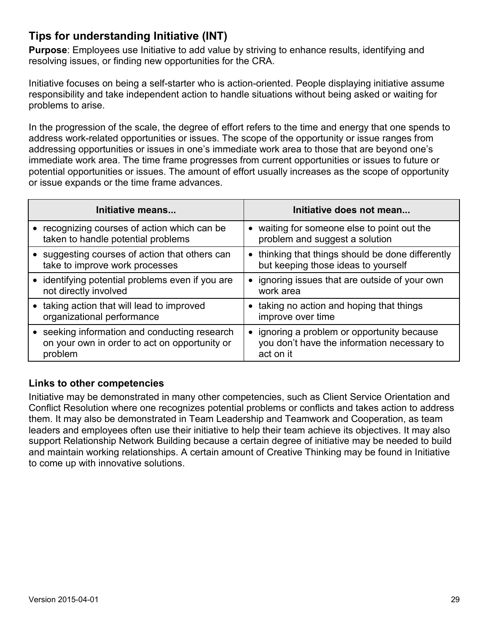## **Tips for understanding Initiative (INT)**

**Purpose**: Employees use Initiative to add value by striving to enhance results, identifying and resolving issues, or finding new opportunities for the CRA.

Initiative focuses on being a self-starter who is action-oriented. People displaying initiative assume responsibility and take independent action to handle situations without being asked or waiting for problems to arise.

In the progression of the scale, the degree of effort refers to the time and energy that one spends to address work-related opportunities or issues. The scope of the opportunity or issue ranges from addressing opportunities or issues in one's immediate work area to those that are beyond one's immediate work area. The time frame progresses from current opportunities or issues to future or potential opportunities or issues. The amount of effort usually increases as the scope of opportunity or issue expands or the time frame advances.

| Initiative means                                 | Initiative does not mean                          |
|--------------------------------------------------|---------------------------------------------------|
| recognizing courses of action which can be       | • waiting for someone else to point out the       |
| taken to handle potential problems               | problem and suggest a solution                    |
| • suggesting courses of action that others can   | • thinking that things should be done differently |
| take to improve work processes                   | but keeping those ideas to yourself               |
| • identifying potential problems even if you are | • ignoring issues that are outside of your own    |
| not directly involved                            | work area                                         |
| taking action that will lead to improved         | • taking no action and hoping that things         |
| organizational performance                       | improve over time                                 |
| seeking information and conducting research      | • ignoring a problem or opportunity because       |
| on your own in order to act on opportunity or    | you don't have the information necessary to       |
| problem                                          | act on it                                         |

#### **Links to other competencies**

Initiative may be demonstrated in many other competencies, such as Client Service Orientation and Conflict Resolution where one recognizes potential problems or conflicts and takes action to address them. It may also be demonstrated in Team Leadership and Teamwork and Cooperation, as team leaders and employees often use their initiative to help their team achieve its objectives. It may also support Relationship Network Building because a certain degree of initiative may be needed to build and maintain working relationships. A certain amount of Creative Thinking may be found in Initiative to come up with innovative solutions.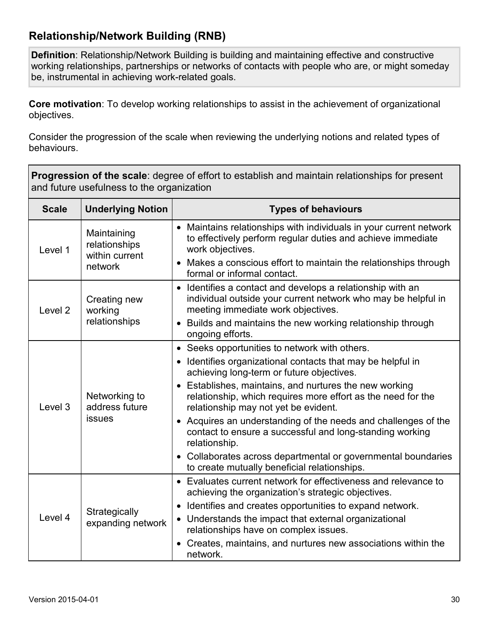## **Relationship/Network Building (RNB)**

**Definition**: Relationship/Network Building is building and maintaining effective and constructive working relationships, partnerships or networks of contacts with people who are, or might someday be, instrumental in achieving work-related goals.

**Core motivation**: To develop working relationships to assist in the achievement of organizational objectives.

Consider the progression of the scale when reviewing the underlying notions and related types of behaviours.

**Progression of the scale**: degree of effort to establish and maintain relationships for present and future usefulness to the organization

| <b>Scale</b>       | <b>Underlying Notion</b>                                  | <b>Types of behaviours</b>                                                                                                                                                                                                                                                                                                                                                                                                                                                                                                                                                                |
|--------------------|-----------------------------------------------------------|-------------------------------------------------------------------------------------------------------------------------------------------------------------------------------------------------------------------------------------------------------------------------------------------------------------------------------------------------------------------------------------------------------------------------------------------------------------------------------------------------------------------------------------------------------------------------------------------|
| Level 1            | Maintaining<br>relationships<br>within current<br>network | • Maintains relationships with individuals in your current network<br>to effectively perform regular duties and achieve immediate<br>work objectives.<br>• Makes a conscious effort to maintain the relationships through<br>formal or informal contact.                                                                                                                                                                                                                                                                                                                                  |
| Level <sub>2</sub> | Creating new<br>working<br>relationships                  | Identifies a contact and develops a relationship with an<br>individual outside your current network who may be helpful in<br>meeting immediate work objectives.<br>• Builds and maintains the new working relationship through<br>ongoing efforts.                                                                                                                                                                                                                                                                                                                                        |
| Level 3            | Networking to<br>address future<br>issues                 | • Seeks opportunities to network with others.<br>Identifies organizational contacts that may be helpful in<br>achieving long-term or future objectives.<br>• Establishes, maintains, and nurtures the new working<br>relationship, which requires more effort as the need for the<br>relationship may not yet be evident.<br>• Acquires an understanding of the needs and challenges of the<br>contact to ensure a successful and long-standing working<br>relationship.<br>• Collaborates across departmental or governmental boundaries<br>to create mutually beneficial relationships. |
| Level 4            | Strategically<br>expanding network                        | • Evaluates current network for effectiveness and relevance to<br>achieving the organization's strategic objectives.<br>• Identifies and creates opportunities to expand network.<br>• Understands the impact that external organizational<br>relationships have on complex issues.<br>Creates, maintains, and nurtures new associations within the<br>network.                                                                                                                                                                                                                           |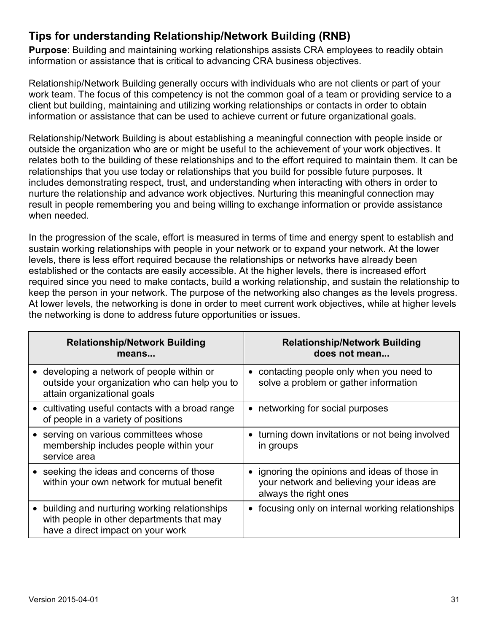## **Tips for understanding Relationship/Network Building (RNB)**

**Purpose**: Building and maintaining working relationships assists CRA employees to readily obtain information or assistance that is critical to advancing CRA business objectives.

Relationship/Network Building generally occurs with individuals who are not clients or part of your work team. The focus of this competency is not the common goal of a team or providing service to a client but building, maintaining and utilizing working relationships or contacts in order to obtain information or assistance that can be used to achieve current or future organizational goals.

Relationship/Network Building is about establishing a meaningful connection with people inside or outside the organization who are or might be useful to the achievement of your work objectives. It relates both to the building of these relationships and to the effort required to maintain them. It can be relationships that you use today or relationships that you build for possible future purposes. It includes demonstrating respect, trust, and understanding when interacting with others in order to nurture the relationship and advance work objectives. Nurturing this meaningful connection may result in people remembering you and being willing to exchange information or provide assistance when needed.

In the progression of the scale, effort is measured in terms of time and energy spent to establish and sustain working relationships with people in your network or to expand your network. At the lower levels, there is less effort required because the relationships or networks have already been established or the contacts are easily accessible. At the higher levels, there is increased effort required since you need to make contacts, build a working relationship, and sustain the relationship to keep the person in your network. The purpose of the networking also changes as the levels progress. At lower levels, the networking is done in order to meet current work objectives, while at higher levels the networking is done to address future opportunities or issues.

| <b>Relationship/Network Building</b><br>means                                                                                  | <b>Relationship/Network Building</b><br>does not mean                                                               |
|--------------------------------------------------------------------------------------------------------------------------------|---------------------------------------------------------------------------------------------------------------------|
| • developing a network of people within or<br>outside your organization who can help you to<br>attain organizational goals     | • contacting people only when you need to<br>solve a problem or gather information                                  |
| • cultivating useful contacts with a broad range<br>of people in a variety of positions                                        | • networking for social purposes                                                                                    |
| • serving on various committees whose<br>membership includes people within your<br>service area                                | • turning down invitations or not being involved<br>in groups                                                       |
| • seeking the ideas and concerns of those<br>within your own network for mutual benefit                                        | • ignoring the opinions and ideas of those in<br>your network and believing your ideas are<br>always the right ones |
| building and nurturing working relationships<br>with people in other departments that may<br>have a direct impact on your work | • focusing only on internal working relationships                                                                   |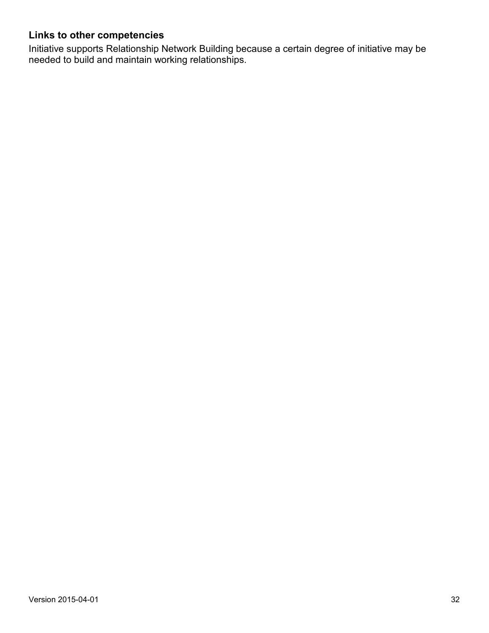#### **Links to other competencies**

Initiative supports Relationship Network Building because a certain degree of initiative may be needed to build and maintain working relationships.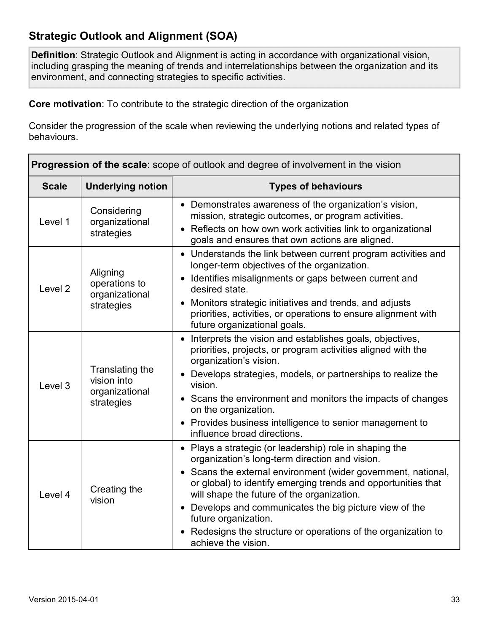## **Strategic Outlook and Alignment (SOA)**

**Definition**: Strategic Outlook and Alignment is acting in accordance with organizational vision, including grasping the meaning of trends and interrelationships between the organization and its environment, and connecting strategies to specific activities.

**Core motivation**: To contribute to the strategic direction of the organization

| <b>Progression of the scale:</b> scope of outlook and degree of involvement in the vision |                                                                |                                                                                                                                                                                                                                                                                                                                                                                                                                                                     |
|-------------------------------------------------------------------------------------------|----------------------------------------------------------------|---------------------------------------------------------------------------------------------------------------------------------------------------------------------------------------------------------------------------------------------------------------------------------------------------------------------------------------------------------------------------------------------------------------------------------------------------------------------|
| <b>Scale</b>                                                                              | <b>Underlying notion</b>                                       | <b>Types of behaviours</b>                                                                                                                                                                                                                                                                                                                                                                                                                                          |
| Level 1                                                                                   | Considering<br>organizational<br>strategies                    | • Demonstrates awareness of the organization's vision,<br>mission, strategic outcomes, or program activities.<br>Reflects on how own work activities link to organizational<br>goals and ensures that own actions are aligned.                                                                                                                                                                                                                                      |
| Level <sub>2</sub>                                                                        | Aligning<br>operations to<br>organizational<br>strategies      | • Understands the link between current program activities and<br>longer-term objectives of the organization.<br>Identifies misalignments or gaps between current and<br>$\bullet$<br>desired state.<br>Monitors strategic initiatives and trends, and adjusts<br>priorities, activities, or operations to ensure alignment with<br>future organizational goals.                                                                                                     |
| Level <sub>3</sub>                                                                        | Translating the<br>vision into<br>organizational<br>strategies | • Interprets the vision and establishes goals, objectives,<br>priorities, projects, or program activities aligned with the<br>organization's vision.<br>• Develops strategies, models, or partnerships to realize the<br>vision.<br>• Scans the environment and monitors the impacts of changes<br>on the organization.<br>• Provides business intelligence to senior management to<br>influence broad directions.                                                  |
| Level 4                                                                                   | Creating the<br>vision                                         | • Plays a strategic (or leadership) role in shaping the<br>organization's long-term direction and vision.<br>• Scans the external environment (wider government, national,<br>or global) to identify emerging trends and opportunities that<br>will shape the future of the organization.<br>Develops and communicates the big picture view of the<br>future organization.<br>• Redesigns the structure or operations of the organization to<br>achieve the vision. |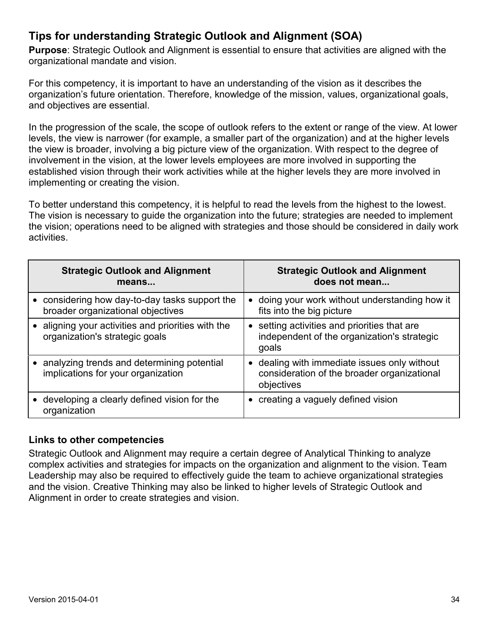## **Tips for understanding Strategic Outlook and Alignment (SOA)**

**Purpose**: Strategic Outlook and Alignment is essential to ensure that activities are aligned with the organizational mandate and vision.

For this competency, it is important to have an understanding of the vision as it describes the organization's future orientation. Therefore, knowledge of the mission, values, organizational goals, and objectives are essential.

In the progression of the scale, the scope of outlook refers to the extent or range of the view. At lower levels, the view is narrower (for example, a smaller part of the organization) and at the higher levels the view is broader, involving a big picture view of the organization. With respect to the degree of involvement in the vision, at the lower levels employees are more involved in supporting the established vision through their work activities while at the higher levels they are more involved in implementing or creating the vision.

To better understand this competency, it is helpful to read the levels from the highest to the lowest. The vision is necessary to guide the organization into the future; strategies are needed to implement the vision; operations need to be aligned with strategies and those should be considered in daily work activities.

| <b>Strategic Outlook and Alignment</b><br>means                                      | <b>Strategic Outlook and Alignment</b><br>does not mean                                                   |
|--------------------------------------------------------------------------------------|-----------------------------------------------------------------------------------------------------------|
| considering how day-to-day tasks support the<br>broader organizational objectives    | • doing your work without understanding how it<br>fits into the big picture                               |
| • aligning your activities and priorities with the<br>organization's strategic goals | • setting activities and priorities that are<br>independent of the organization's strategic<br>goals      |
| analyzing trends and determining potential<br>implications for your organization     | • dealing with immediate issues only without<br>consideration of the broader organizational<br>objectives |
| developing a clearly defined vision for the<br>organization                          | • creating a vaguely defined vision                                                                       |

#### **Links to other competencies**

Strategic Outlook and Alignment may require a certain degree of Analytical Thinking to analyze complex activities and strategies for impacts on the organization and alignment to the vision. Team Leadership may also be required to effectively guide the team to achieve organizational strategies and the vision. Creative Thinking may also be linked to higher levels of Strategic Outlook and Alignment in order to create strategies and vision.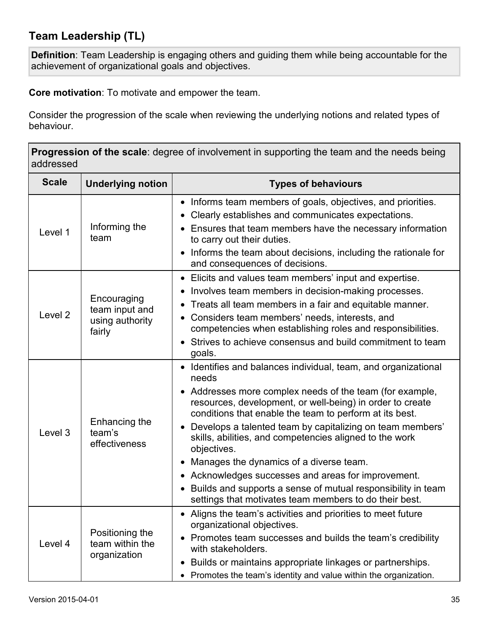## **Team Leadership (TL)**

**Definition**: Team Leadership is engaging others and guiding them while being accountable for the achievement of organizational goals and objectives.

**Core motivation**: To motivate and empower the team.

Consider the progression of the scale when reviewing the underlying notions and related types of behaviour.

**Progression of the scale**: degree of involvement in supporting the team and the needs being addressed

| <b>Scale</b>       | <b>Underlying notion</b>                                   | <b>Types of behaviours</b>                                                                                                                                                                                                                                                                                                                                                                                                                                                                                                                                                                                                                      |
|--------------------|------------------------------------------------------------|-------------------------------------------------------------------------------------------------------------------------------------------------------------------------------------------------------------------------------------------------------------------------------------------------------------------------------------------------------------------------------------------------------------------------------------------------------------------------------------------------------------------------------------------------------------------------------------------------------------------------------------------------|
| Level 1            | Informing the<br>team                                      | • Informs team members of goals, objectives, and priorities.<br>Clearly establishes and communicates expectations.<br>$\bullet$<br>• Ensures that team members have the necessary information<br>to carry out their duties.<br>Informs the team about decisions, including the rationale for<br>$\bullet$<br>and consequences of decisions.                                                                                                                                                                                                                                                                                                     |
| Level <sub>2</sub> | Encouraging<br>team input and<br>using authority<br>fairly | Elicits and values team members' input and expertise.<br>$\bullet$<br>Involves team members in decision-making processes.<br>$\bullet$<br>Treats all team members in a fair and equitable manner.<br>$\bullet$<br>Considers team members' needs, interests, and<br>competencies when establishing roles and responsibilities.<br>• Strives to achieve consensus and build commitment to team<br>goals.                                                                                                                                                                                                                                          |
| Level <sub>3</sub> | Enhancing the<br>team's<br>effectiveness                   | • Identifies and balances individual, team, and organizational<br>needs<br>• Addresses more complex needs of the team (for example,<br>resources, development, or well-being) in order to create<br>conditions that enable the team to perform at its best.<br>Develops a talented team by capitalizing on team members'<br>$\bullet$<br>skills, abilities, and competencies aligned to the work<br>objectives.<br>• Manages the dynamics of a diverse team.<br>• Acknowledges successes and areas for improvement.<br>• Builds and supports a sense of mutual responsibility in team<br>settings that motivates team members to do their best. |
| Level 4            | Positioning the<br>team within the<br>organization         | • Aligns the team's activities and priorities to meet future<br>organizational objectives.<br>• Promotes team successes and builds the team's credibility<br>with stakeholders.<br>Builds or maintains appropriate linkages or partnerships.<br>$\bullet$<br>• Promotes the team's identity and value within the organization.                                                                                                                                                                                                                                                                                                                  |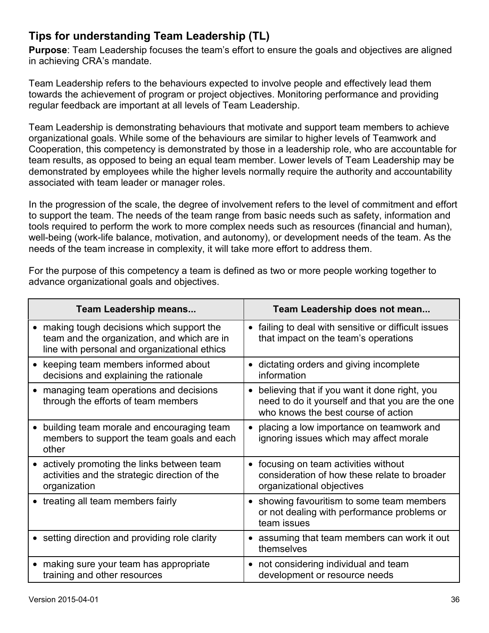## **Tips for understanding Team Leadership (TL)**

**Purpose**: Team Leadership focuses the team's effort to ensure the goals and objectives are aligned in achieving CRA's mandate.

Team Leadership refers to the behaviours expected to involve people and effectively lead them towards the achievement of program or project objectives. Monitoring performance and providing regular feedback are important at all levels of Team Leadership.

Team Leadership is demonstrating behaviours that motivate and support team members to achieve organizational goals. While some of the behaviours are similar to higher levels of Teamwork and Cooperation, this competency is demonstrated by those in a leadership role, who are accountable for team results, as opposed to being an equal team member. Lower levels of Team Leadership may be demonstrated by employees while the higher levels normally require the authority and accountability associated with team leader or manager roles.

In the progression of the scale, the degree of involvement refers to the level of commitment and effort to support the team. The needs of the team range from basic needs such as safety, information and tools required to perform the work to more complex needs such as resources (financial and human), well-being (work-life balance, motivation, and autonomy), or development needs of the team. As the needs of the team increase in complexity, it will take more effort to address them.

For the purpose of this competency a team is defined as two or more people working together to advance organizational goals and objectives.

| <b>Team Leadership means</b>                                                                                                              | Team Leadership does not mean                                                                                                                        |
|-------------------------------------------------------------------------------------------------------------------------------------------|------------------------------------------------------------------------------------------------------------------------------------------------------|
| • making tough decisions which support the<br>team and the organization, and which are in<br>line with personal and organizational ethics | failing to deal with sensitive or difficult issues<br>$\bullet$<br>that impact on the team's operations                                              |
| keeping team members informed about<br>decisions and explaining the rationale                                                             | • dictating orders and giving incomplete<br>information                                                                                              |
| managing team operations and decisions<br>through the efforts of team members                                                             | believing that if you want it done right, you<br>$\bullet$<br>need to do it yourself and that you are the one<br>who knows the best course of action |
| building team morale and encouraging team<br>members to support the team goals and each<br>other                                          | placing a low importance on teamwork and<br>ignoring issues which may affect morale                                                                  |
| actively promoting the links between team<br>activities and the strategic direction of the<br>organization                                | • focusing on team activities without<br>consideration of how these relate to broader<br>organizational objectives                                   |
| treating all team members fairly                                                                                                          | • showing favouritism to some team members<br>or not dealing with performance problems or<br>team issues                                             |
| • setting direction and providing role clarity                                                                                            | assuming that team members can work it out<br>themselves                                                                                             |
| making sure your team has appropriate<br>$\bullet$<br>training and other resources                                                        | • not considering individual and team<br>development or resource needs                                                                               |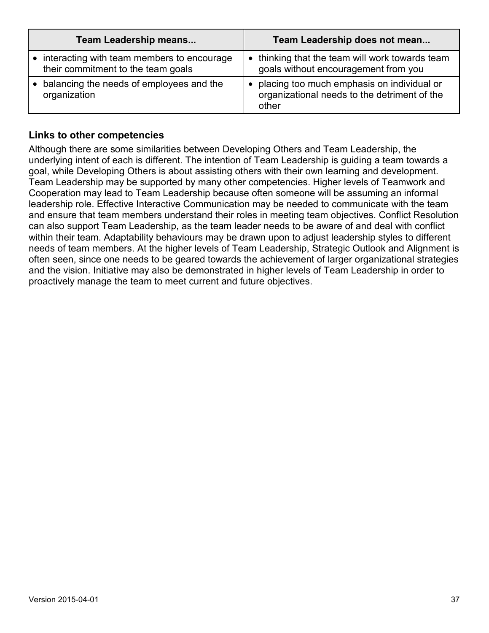| <b>Team Leadership means</b>                                                     | Team Leadership does not mean                                                                         |
|----------------------------------------------------------------------------------|-------------------------------------------------------------------------------------------------------|
| interacting with team members to encourage<br>their commitment to the team goals | • thinking that the team will work towards team<br>goals without encouragement from you               |
| balancing the needs of employees and the<br>organization                         | • placing too much emphasis on individual or<br>organizational needs to the detriment of the<br>other |

#### **Links to other competencies**

Although there are some similarities between Developing Others and Team Leadership, the underlying intent of each is different. The intention of Team Leadership is guiding a team towards a goal, while Developing Others is about assisting others with their own learning and development. Team Leadership may be supported by many other competencies. Higher levels of Teamwork and Cooperation may lead to Team Leadership because often someone will be assuming an informal leadership role. Effective Interactive Communication may be needed to communicate with the team and ensure that team members understand their roles in meeting team objectives. Conflict Resolution can also support Team Leadership, as the team leader needs to be aware of and deal with conflict within their team. Adaptability behaviours may be drawn upon to adjust leadership styles to different needs of team members. At the higher levels of Team Leadership, Strategic Outlook and Alignment is often seen, since one needs to be geared towards the achievement of larger organizational strategies and the vision. Initiative may also be demonstrated in higher levels of Team Leadership in order to proactively manage the team to meet current and future objectives.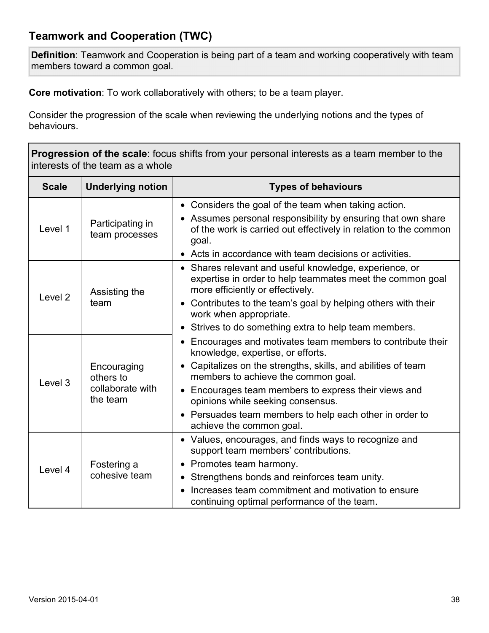## **Teamwork and Cooperation (TWC)**

**Definition**: Teamwork and Cooperation is being part of a team and working cooperatively with team members toward a common goal.

**Core motivation**: To work collaboratively with others; to be a team player.

| <b>Progression of the scale:</b> focus shifts from your personal interests as a team member to the<br>interests of the team as a whole |                                                          |                                                                                                                                                                                                                                                                                                                                                                                              |
|----------------------------------------------------------------------------------------------------------------------------------------|----------------------------------------------------------|----------------------------------------------------------------------------------------------------------------------------------------------------------------------------------------------------------------------------------------------------------------------------------------------------------------------------------------------------------------------------------------------|
| <b>Scale</b>                                                                                                                           | <b>Underlying notion</b>                                 | <b>Types of behaviours</b>                                                                                                                                                                                                                                                                                                                                                                   |
| Level 1                                                                                                                                | Participating in<br>team processes                       | • Considers the goal of the team when taking action.<br>• Assumes personal responsibility by ensuring that own share<br>of the work is carried out effectively in relation to the common<br>goal.<br>• Acts in accordance with team decisions or activities.                                                                                                                                 |
| Level <sub>2</sub>                                                                                                                     | Assisting the<br>team                                    | • Shares relevant and useful knowledge, experience, or<br>expertise in order to help teammates meet the common goal<br>more efficiently or effectively.<br>• Contributes to the team's goal by helping others with their<br>work when appropriate.<br>• Strives to do something extra to help team members.                                                                                  |
| Level 3                                                                                                                                | Encouraging<br>others to<br>collaborate with<br>the team | • Encourages and motivates team members to contribute their<br>knowledge, expertise, or efforts.<br>• Capitalizes on the strengths, skills, and abilities of team<br>members to achieve the common goal.<br>• Encourages team members to express their views and<br>opinions while seeking consensus.<br>• Persuades team members to help each other in order to<br>achieve the common goal. |
| Level 4                                                                                                                                | Fostering a<br>cohesive team                             | • Values, encourages, and finds ways to recognize and<br>support team members' contributions.<br>Promotes team harmony.<br>$\bullet$<br>• Strengthens bonds and reinforces team unity.<br>Increases team commitment and motivation to ensure<br>continuing optimal performance of the team.                                                                                                  |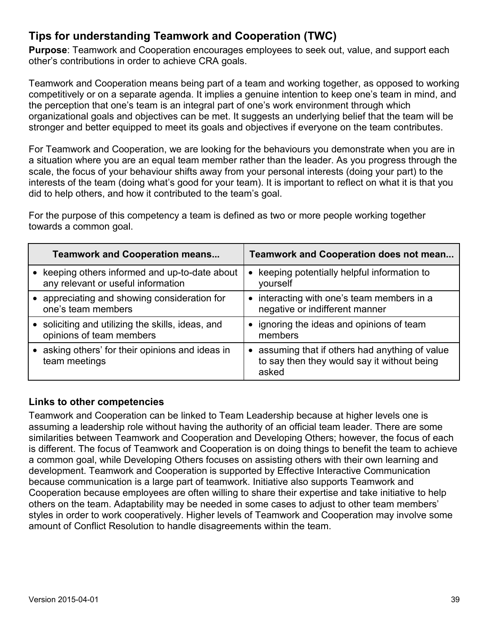## **Tips for understanding Teamwork and Cooperation (TWC)**

**Purpose**: Teamwork and Cooperation encourages employees to seek out, value, and support each other's contributions in order to achieve CRA goals.

Teamwork and Cooperation means being part of a team and working together, as opposed to working competitively or on a separate agenda. It implies a genuine intention to keep one's team in mind, and the perception that one's team is an integral part of one's work environment through which organizational goals and objectives can be met. It suggests an underlying belief that the team will be stronger and better equipped to meet its goals and objectives if everyone on the team contributes.

For Teamwork and Cooperation, we are looking for the behaviours you demonstrate when you are in a situation where you are an equal team member rather than the leader. As you progress through the scale, the focus of your behaviour shifts away from your personal interests (doing your part) to the interests of the team (doing what's good for your team). It is important to reflect on what it is that you did to help others, and how it contributed to the team's goal.

For the purpose of this competency a team is defined as two or more people working together towards a common goal.

| <b>Teamwork and Cooperation means</b>                                              | <b>Teamwork and Cooperation does not mean</b>                                                           |
|------------------------------------------------------------------------------------|---------------------------------------------------------------------------------------------------------|
| keeping others informed and up-to-date about<br>any relevant or useful information | keeping potentially helpful information to<br>$\bullet$<br>yourself                                     |
| • appreciating and showing consideration for<br>one's team members                 | • interacting with one's team members in a<br>negative or indifferent manner                            |
| soliciting and utilizing the skills, ideas, and<br>opinions of team members        | • ignoring the ideas and opinions of team<br>members                                                    |
| asking others' for their opinions and ideas in<br>team meetings                    | • assuming that if others had anything of value<br>to say then they would say it without being<br>asked |

#### **Links to other competencies**

Teamwork and Cooperation can be linked to Team Leadership because at higher levels one is assuming a leadership role without having the authority of an official team leader. There are some similarities between Teamwork and Cooperation and Developing Others; however, the focus of each is different. The focus of Teamwork and Cooperation is on doing things to benefit the team to achieve a common goal, while Developing Others focuses on assisting others with their own learning and development. Teamwork and Cooperation is supported by Effective Interactive Communication because communication is a large part of teamwork. Initiative also supports Teamwork and Cooperation because employees are often willing to share their expertise and take initiative to help others on the team. Adaptability may be needed in some cases to adjust to other team members' styles in order to work cooperatively. Higher levels of Teamwork and Cooperation may involve some amount of Conflict Resolution to handle disagreements within the team.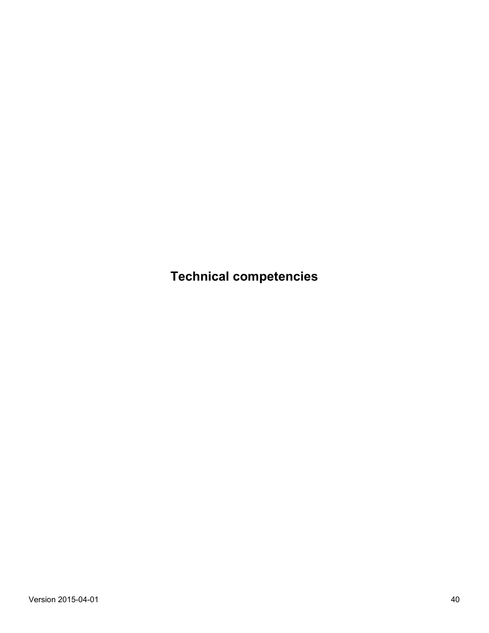**Technical competencies**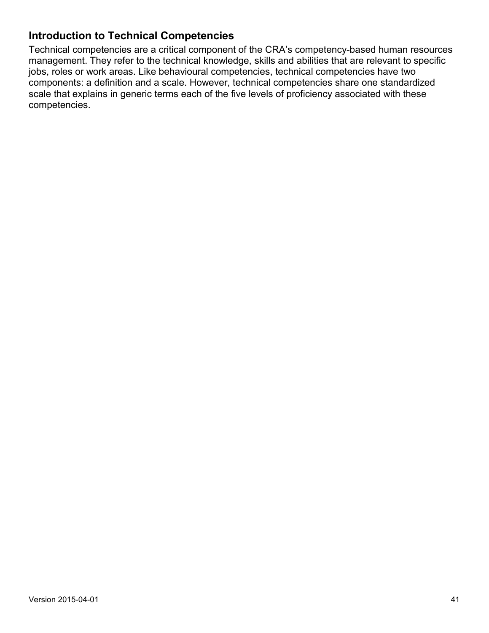### **Introduction to Technical Competencies**

Technical competencies are a critical component of the CRA's competency-based human resources management. They refer to the technical knowledge, skills and abilities that are relevant to specific jobs, roles or work areas. Like behavioural competencies, technical competencies have two components: a definition and a scale. However, technical competencies share one standardized scale that explains in generic terms each of the five levels of proficiency associated with these competencies.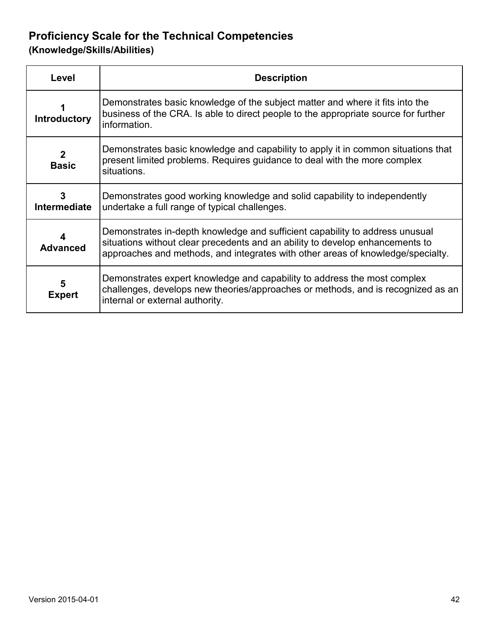## **Proficiency Scale for the Technical Competencies**

**(Knowledge/Skills/Abilities)** 

| Level                        | <b>Description</b>                                                                                                                                                                                                                               |
|------------------------------|--------------------------------------------------------------------------------------------------------------------------------------------------------------------------------------------------------------------------------------------------|
| <b>Introductory</b>          | Demonstrates basic knowledge of the subject matter and where it fits into the<br>business of the CRA. Is able to direct people to the appropriate source for further<br>information.                                                             |
| $\mathbf{2}$<br><b>Basic</b> | Demonstrates basic knowledge and capability to apply it in common situations that<br>present limited problems. Requires guidance to deal with the more complex<br>situations.                                                                    |
| 3<br>Intermediate            | Demonstrates good working knowledge and solid capability to independently<br>undertake a full range of typical challenges.                                                                                                                       |
| 4<br><b>Advanced</b>         | Demonstrates in-depth knowledge and sufficient capability to address unusual<br>situations without clear precedents and an ability to develop enhancements to<br>approaches and methods, and integrates with other areas of knowledge/specialty. |
| 5<br><b>Expert</b>           | Demonstrates expert knowledge and capability to address the most complex<br>challenges, develops new theories/approaches or methods, and is recognized as an<br>internal or external authority.                                                  |